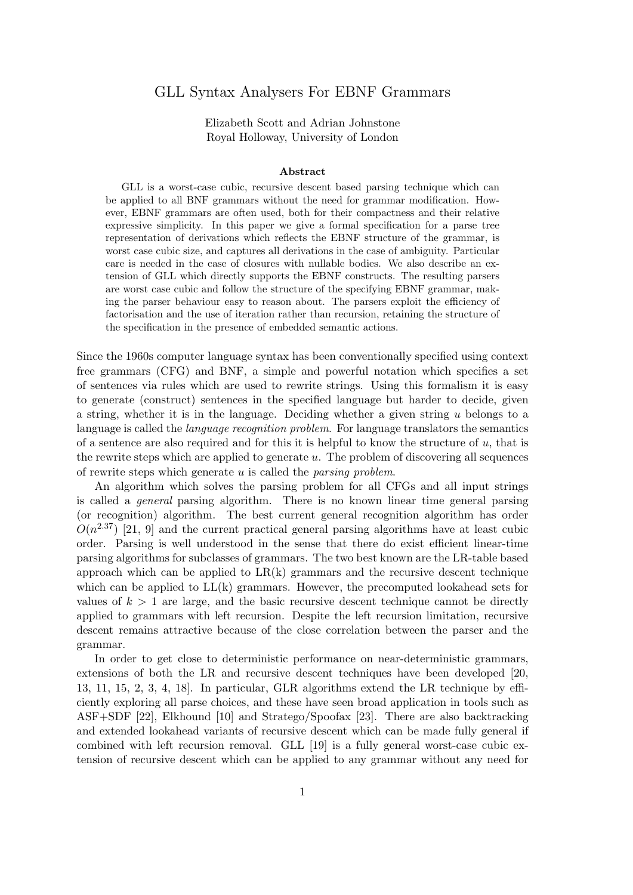# GLL Syntax Analysers For EBNF Grammars

Elizabeth Scott and Adrian Johnstone Royal Holloway, University of London

#### Abstract

GLL is a worst-case cubic, recursive descent based parsing technique which can be applied to all BNF grammars without the need for grammar modification. However, EBNF grammars are often used, both for their compactness and their relative expressive simplicity. In this paper we give a formal specification for a parse tree representation of derivations which reflects the EBNF structure of the grammar, is worst case cubic size, and captures all derivations in the case of ambiguity. Particular care is needed in the case of closures with nullable bodies. We also describe an extension of GLL which directly supports the EBNF constructs. The resulting parsers are worst case cubic and follow the structure of the specifying EBNF grammar, making the parser behaviour easy to reason about. The parsers exploit the efficiency of factorisation and the use of iteration rather than recursion, retaining the structure of the specification in the presence of embedded semantic actions.

Since the 1960s computer language syntax has been conventionally specified using context free grammars (CFG) and BNF, a simple and powerful notation which specifies a set of sentences via rules which are used to rewrite strings. Using this formalism it is easy to generate (construct) sentences in the specified language but harder to decide, given a string, whether it is in the language. Deciding whether a given string  $u$  belongs to a language is called the language recognition problem. For language translators the semantics of a sentence are also required and for this it is helpful to know the structure of  $u$ , that is the rewrite steps which are applied to generate  $u$ . The problem of discovering all sequences of rewrite steps which generate u is called the parsing problem.

An algorithm which solves the parsing problem for all CFGs and all input strings is called a general parsing algorithm. There is no known linear time general parsing (or recognition) algorithm. The best current general recognition algorithm has order  $O(n^{2.37})$  [21, 9] and the current practical general parsing algorithms have at least cubic order. Parsing is well understood in the sense that there do exist efficient linear-time parsing algorithms for subclasses of grammars. The two best known are the LR-table based approach which can be applied to  $LR(k)$  grammars and the recursive descent technique which can be applied to  $LL(k)$  grammars. However, the precomputed lookahead sets for values of  $k > 1$  are large, and the basic recursive descent technique cannot be directly applied to grammars with left recursion. Despite the left recursion limitation, recursive descent remains attractive because of the close correlation between the parser and the grammar.

In order to get close to deterministic performance on near-deterministic grammars, extensions of both the LR and recursive descent techniques have been developed [20, 13, 11, 15, 2, 3, 4, 18]. In particular, GLR algorithms extend the LR technique by efficiently exploring all parse choices, and these have seen broad application in tools such as ASF+SDF [22], Elkhound [10] and Stratego/Spoofax [23]. There are also backtracking and extended lookahead variants of recursive descent which can be made fully general if combined with left recursion removal. GLL [19] is a fully general worst-case cubic extension of recursive descent which can be applied to any grammar without any need for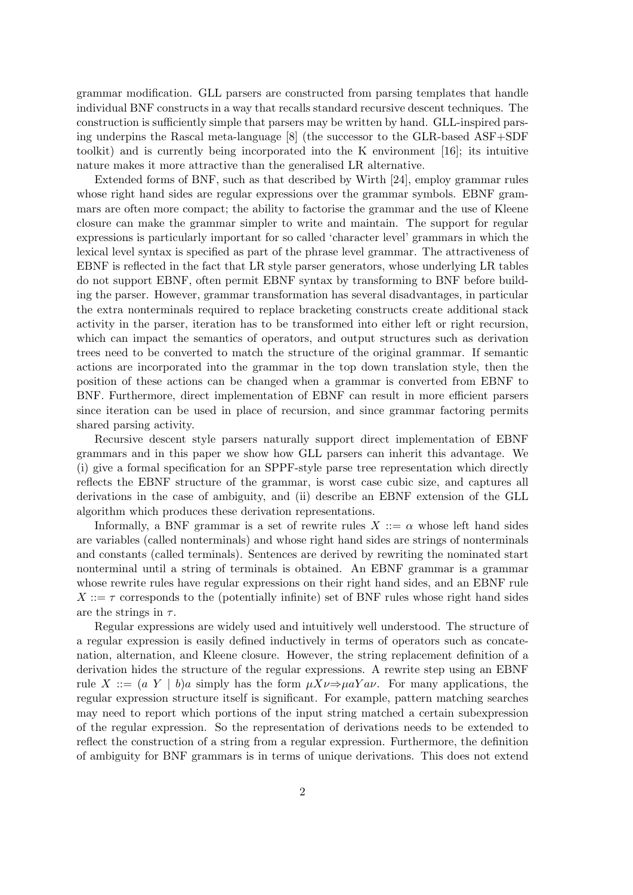grammar modification. GLL parsers are constructed from parsing templates that handle individual BNF constructs in a way that recalls standard recursive descent techniques. The construction is sufficiently simple that parsers may be written by hand. GLL-inspired parsing underpins the Rascal meta-language [8] (the successor to the GLR-based ASF+SDF toolkit) and is currently being incorporated into the K environment [16]; its intuitive nature makes it more attractive than the generalised LR alternative.

Extended forms of BNF, such as that described by Wirth [24], employ grammar rules whose right hand sides are regular expressions over the grammar symbols. EBNF grammars are often more compact; the ability to factorise the grammar and the use of Kleene closure can make the grammar simpler to write and maintain. The support for regular expressions is particularly important for so called 'character level' grammars in which the lexical level syntax is specified as part of the phrase level grammar. The attractiveness of EBNF is reflected in the fact that LR style parser generators, whose underlying LR tables do not support EBNF, often permit EBNF syntax by transforming to BNF before building the parser. However, grammar transformation has several disadvantages, in particular the extra nonterminals required to replace bracketing constructs create additional stack activity in the parser, iteration has to be transformed into either left or right recursion, which can impact the semantics of operators, and output structures such as derivation trees need to be converted to match the structure of the original grammar. If semantic actions are incorporated into the grammar in the top down translation style, then the position of these actions can be changed when a grammar is converted from EBNF to BNF. Furthermore, direct implementation of EBNF can result in more efficient parsers since iteration can be used in place of recursion, and since grammar factoring permits shared parsing activity.

Recursive descent style parsers naturally support direct implementation of EBNF grammars and in this paper we show how GLL parsers can inherit this advantage. We (i) give a formal specification for an SPPF-style parse tree representation which directly reflects the EBNF structure of the grammar, is worst case cubic size, and captures all derivations in the case of ambiguity, and (ii) describe an EBNF extension of the GLL algorithm which produces these derivation representations.

Informally, a BNF grammar is a set of rewrite rules  $X ::= \alpha$  whose left hand sides are variables (called nonterminals) and whose right hand sides are strings of nonterminals and constants (called terminals). Sentences are derived by rewriting the nominated start nonterminal until a string of terminals is obtained. An EBNF grammar is a grammar whose rewrite rules have regular expressions on their right hand sides, and an EBNF rule  $X ::= \tau$  corresponds to the (potentially infinite) set of BNF rules whose right hand sides are the strings in  $\tau$ .

Regular expressions are widely used and intuitively well understood. The structure of a regular expression is easily defined inductively in terms of operators such as concatenation, alternation, and Kleene closure. However, the string replacement definition of a derivation hides the structure of the regular expressions. A rewrite step using an EBNF rule X ::=  $(a Y \mid b)a$  simply has the form  $\mu X \nu \Rightarrow \mu aY a\nu$ . For many applications, the regular expression structure itself is significant. For example, pattern matching searches may need to report which portions of the input string matched a certain subexpression of the regular expression. So the representation of derivations needs to be extended to reflect the construction of a string from a regular expression. Furthermore, the definition of ambiguity for BNF grammars is in terms of unique derivations. This does not extend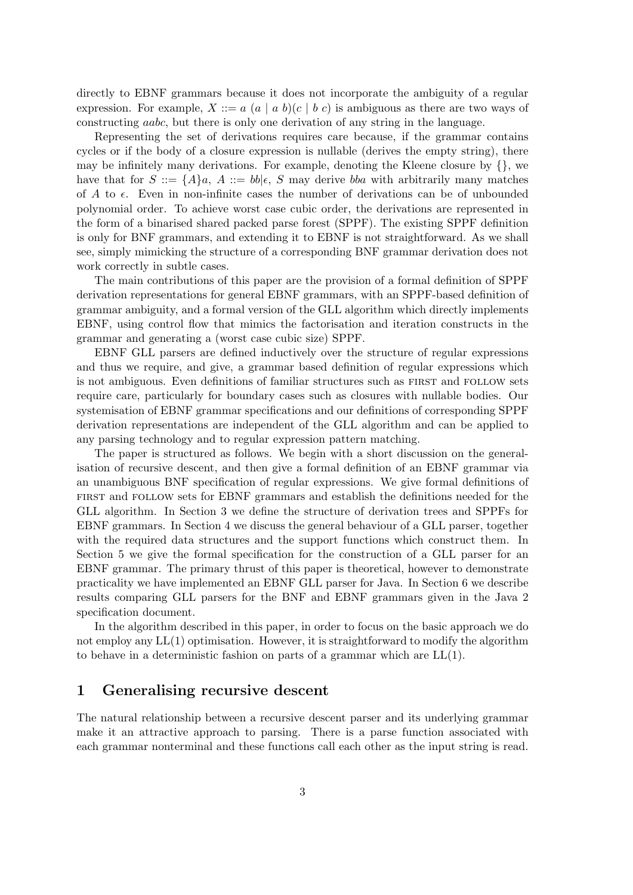directly to EBNF grammars because it does not incorporate the ambiguity of a regular expression. For example,  $X ::= a (a | a b)(c | b c)$  is ambiguous as there are two ways of constructing aabc, but there is only one derivation of any string in the language.

Representing the set of derivations requires care because, if the grammar contains cycles or if the body of a closure expression is nullable (derives the empty string), there may be infinitely many derivations. For example, denoting the Kleene closure by  $\{\}$ , we have that for  $S ::= \{A\}a, A ::= bb|\epsilon, S$  may derive bba with arbitrarily many matches of A to  $\epsilon$ . Even in non-infinite cases the number of derivations can be of unbounded polynomial order. To achieve worst case cubic order, the derivations are represented in the form of a binarised shared packed parse forest (SPPF). The existing SPPF definition is only for BNF grammars, and extending it to EBNF is not straightforward. As we shall see, simply mimicking the structure of a corresponding BNF grammar derivation does not work correctly in subtle cases.

The main contributions of this paper are the provision of a formal definition of SPPF derivation representations for general EBNF grammars, with an SPPF-based definition of grammar ambiguity, and a formal version of the GLL algorithm which directly implements EBNF, using control flow that mimics the factorisation and iteration constructs in the grammar and generating a (worst case cubic size) SPPF.

EBNF GLL parsers are defined inductively over the structure of regular expressions and thus we require, and give, a grammar based definition of regular expressions which is not ambiguous. Even definitions of familiar structures such as FIRST and FOLLOW sets require care, particularly for boundary cases such as closures with nullable bodies. Our systemisation of EBNF grammar specifications and our definitions of corresponding SPPF derivation representations are independent of the GLL algorithm and can be applied to any parsing technology and to regular expression pattern matching.

The paper is structured as follows. We begin with a short discussion on the generalisation of recursive descent, and then give a formal definition of an EBNF grammar via an unambiguous BNF specification of regular expressions. We give formal definitions of first and follow sets for EBNF grammars and establish the definitions needed for the GLL algorithm. In Section 3 we define the structure of derivation trees and SPPFs for EBNF grammars. In Section 4 we discuss the general behaviour of a GLL parser, together with the required data structures and the support functions which construct them. In Section 5 we give the formal specification for the construction of a GLL parser for an EBNF grammar. The primary thrust of this paper is theoretical, however to demonstrate practicality we have implemented an EBNF GLL parser for Java. In Section 6 we describe results comparing GLL parsers for the BNF and EBNF grammars given in the Java 2 specification document.

In the algorithm described in this paper, in order to focus on the basic approach we do not employ any LL(1) optimisation. However, it is straightforward to modify the algorithm to behave in a deterministic fashion on parts of a grammar which are  $LL(1)$ .

## 1 Generalising recursive descent

The natural relationship between a recursive descent parser and its underlying grammar make it an attractive approach to parsing. There is a parse function associated with each grammar nonterminal and these functions call each other as the input string is read.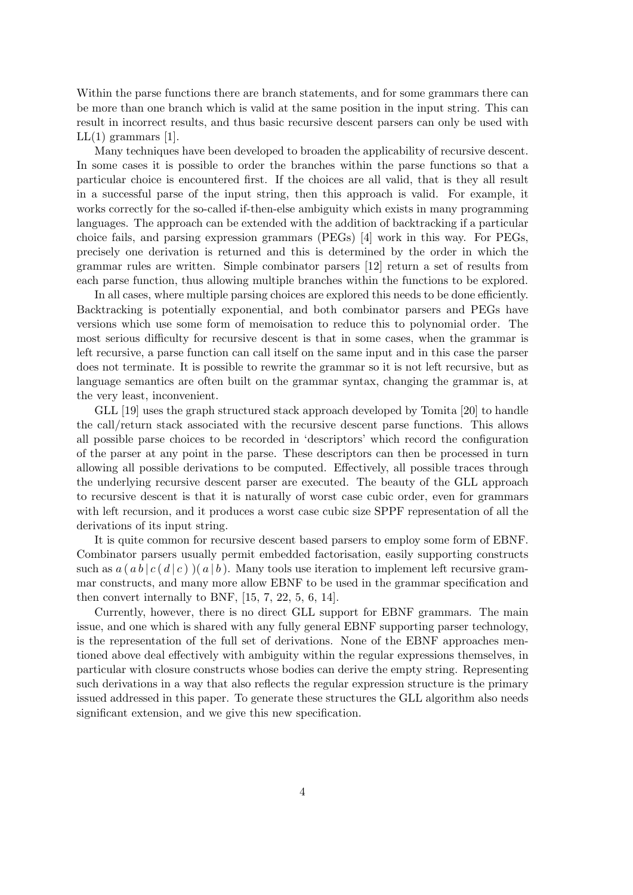Within the parse functions there are branch statements, and for some grammars there can be more than one branch which is valid at the same position in the input string. This can result in incorrect results, and thus basic recursive descent parsers can only be used with  $LL(1)$  grammars [1].

Many techniques have been developed to broaden the applicability of recursive descent. In some cases it is possible to order the branches within the parse functions so that a particular choice is encountered first. If the choices are all valid, that is they all result in a successful parse of the input string, then this approach is valid. For example, it works correctly for the so-called if-then-else ambiguity which exists in many programming languages. The approach can be extended with the addition of backtracking if a particular choice fails, and parsing expression grammars (PEGs) [4] work in this way. For PEGs, precisely one derivation is returned and this is determined by the order in which the grammar rules are written. Simple combinator parsers [12] return a set of results from each parse function, thus allowing multiple branches within the functions to be explored.

In all cases, where multiple parsing choices are explored this needs to be done efficiently. Backtracking is potentially exponential, and both combinator parsers and PEGs have versions which use some form of memoisation to reduce this to polynomial order. The most serious difficulty for recursive descent is that in some cases, when the grammar is left recursive, a parse function can call itself on the same input and in this case the parser does not terminate. It is possible to rewrite the grammar so it is not left recursive, but as language semantics are often built on the grammar syntax, changing the grammar is, at the very least, inconvenient.

GLL [19] uses the graph structured stack approach developed by Tomita [20] to handle the call/return stack associated with the recursive descent parse functions. This allows all possible parse choices to be recorded in 'descriptors' which record the configuration of the parser at any point in the parse. These descriptors can then be processed in turn allowing all possible derivations to be computed. Effectively, all possible traces through the underlying recursive descent parser are executed. The beauty of the GLL approach to recursive descent is that it is naturally of worst case cubic order, even for grammars with left recursion, and it produces a worst case cubic size SPPF representation of all the derivations of its input string.

It is quite common for recursive descent based parsers to employ some form of EBNF. Combinator parsers usually permit embedded factorisation, easily supporting constructs such as  $a(a b | c(d | c)) (a | b)$ . Many tools use iteration to implement left recursive grammar constructs, and many more allow EBNF to be used in the grammar specification and then convert internally to BNF, [15, 7, 22, 5, 6, 14].

Currently, however, there is no direct GLL support for EBNF grammars. The main issue, and one which is shared with any fully general EBNF supporting parser technology, is the representation of the full set of derivations. None of the EBNF approaches mentioned above deal effectively with ambiguity within the regular expressions themselves, in particular with closure constructs whose bodies can derive the empty string. Representing such derivations in a way that also reflects the regular expression structure is the primary issued addressed in this paper. To generate these structures the GLL algorithm also needs significant extension, and we give this new specification.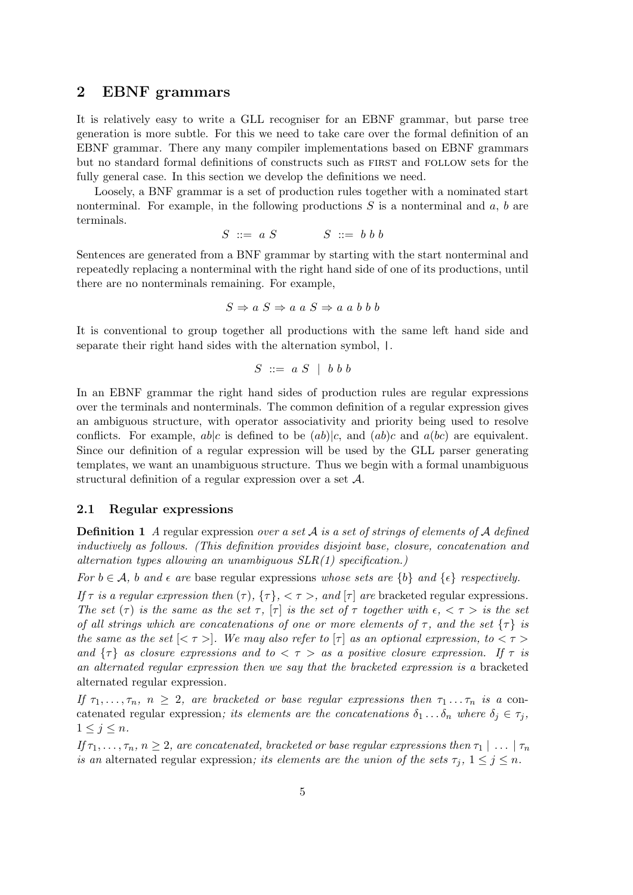# 2 EBNF grammars

It is relatively easy to write a GLL recogniser for an EBNF grammar, but parse tree generation is more subtle. For this we need to take care over the formal definition of an EBNF grammar. There any many compiler implementations based on EBNF grammars but no standard formal definitions of constructs such as FIRST and FOLLOW sets for the fully general case. In this section we develop the definitions we need.

Loosely, a BNF grammar is a set of production rules together with a nominated start nonterminal. For example, in the following productions  $S$  is a nonterminal and  $a, b$  are terminals.

$$
S \ ::= \ a \ S \qquad \qquad S \ ::= \ b \ b \ b
$$

Sentences are generated from a BNF grammar by starting with the start nonterminal and repeatedly replacing a nonterminal with the right hand side of one of its productions, until there are no nonterminals remaining. For example,

$$
S \Rightarrow a S \Rightarrow a a S \Rightarrow a a b b b
$$

It is conventional to group together all productions with the same left hand side and separate their right hand sides with the alternation symbol, |.

$$
S \ ::= \ a \ S \ | \ b \ b \ b
$$

In an EBNF grammar the right hand sides of production rules are regular expressions over the terminals and nonterminals. The common definition of a regular expression gives an ambiguous structure, with operator associativity and priority being used to resolve conflicts. For example,  $ab|c$  is defined to be  $(ab)|c$ , and  $(ab)c$  and  $a(bc)$  are equivalent. Since our definition of a regular expression will be used by the GLL parser generating templates, we want an unambiguous structure. Thus we begin with a formal unambiguous structural definition of a regular expression over a set A.

### 2.1 Regular expressions

**Definition 1** A regular expression over a set A is a set of strings of elements of A defined inductively as follows. (This definition provides disjoint base, closure, concatenation and alternation types allowing an unambiguous  $SLR(1)$  specification.)

For  $b \in \mathcal{A}$ , b and  $\epsilon$  are base regular expressions whose sets are  $\{b\}$  and  $\{\epsilon\}$  respectively.

If  $\tau$  is a regular expression then  $(\tau)$ ,  $\{\tau\}$ ,  $\langle \tau \rangle$ , and  $[\tau]$  are bracketed regular expressions. The set  $(\tau)$  is the same as the set  $\tau$ ,  $[\tau]$  is the set of  $\tau$  together with  $\epsilon$ ,  $\langle \tau \rangle$  is the set of all strings which are concatenations of one or more elements of  $\tau$ , and the set  $\{\tau\}$  is the same as the set  $|<\tau>$ . We may also refer to  $|\tau|$  as an optional expression, to  $<\tau>$ and  $\{\tau\}$  as closure expressions and to  $\langle \tau \rangle$  as a positive closure expression. If  $\tau$  is an alternated regular expression then we say that the bracketed expression is a bracketed alternated regular expression.

If  $\tau_1, \ldots, \tau_n$ ,  $n \geq 2$ , are bracketed or base regular expressions then  $\tau_1 \ldots \tau_n$  is a concatenated regular expression; its elements are the concatenations  $\delta_1 \dots \delta_n$  where  $\delta_j \in \tau_j$ ,  $1 \leq i \leq n$ .

If  $\tau_1, \ldots, \tau_n, n \geq 2$ , are concatenated, bracketed or base regular expressions then  $\tau_1 | \ldots | \tau_n$ is an alternated regular expression; its elements are the union of the sets  $\tau_i$ ,  $1 \leq j \leq n$ .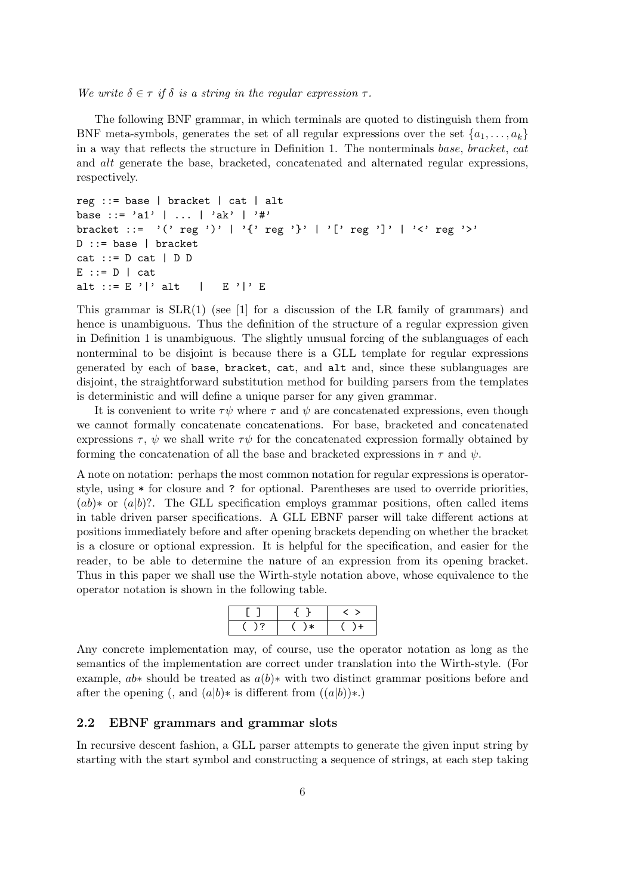We write  $\delta \in \tau$  if  $\delta$  is a string in the regular expression  $\tau$ .

The following BNF grammar, in which terminals are quoted to distinguish them from BNF meta-symbols, generates the set of all regular expressions over the set  $\{a_1, \ldots, a_k\}$ in a way that reflects the structure in Definition 1. The nonterminals base, bracket, cat and alt generate the base, bracketed, concatenated and alternated regular expressions, respectively.

```
reg ::= base | bracket | cat | alt
base ::= 'a1' | ... | 'ak' | '#'
bracket ::= '(' reg ')' | '{' reg '}' | '[' reg ']' | '<' reg '>'
D ::= base | bracket
cat ::= D cat | D DE ::= D | catalt ::= E '|' alt | E '|' E
```
This grammar is  $SLR(1)$  (see [1] for a discussion of the LR family of grammars) and hence is unambiguous. Thus the definition of the structure of a regular expression given in Definition 1 is unambiguous. The slightly unusual forcing of the sublanguages of each nonterminal to be disjoint is because there is a GLL template for regular expressions generated by each of base, bracket, cat, and alt and, since these sublanguages are disjoint, the straightforward substitution method for building parsers from the templates is deterministic and will define a unique parser for any given grammar.

It is convenient to write  $\tau\psi$  where  $\tau$  and  $\psi$  are concatenated expressions, even though we cannot formally concatenate concatenations. For base, bracketed and concatenated expressions  $\tau$ ,  $\psi$  we shall write  $\tau \psi$  for the concatenated expression formally obtained by forming the concatenation of all the base and bracketed expressions in  $\tau$  and  $\psi$ .

A note on notation: perhaps the most common notation for regular expressions is operatorstyle, using \* for closure and ? for optional. Parentheses are used to override priorities,  $(ab)*$  or  $(a|b)$ ?. The GLL specification employs grammar positions, often called items in table driven parser specifications. A GLL EBNF parser will take different actions at positions immediately before and after opening brackets depending on whether the bracket is a closure or optional expression. It is helpful for the specification, and easier for the reader, to be able to determine the nature of an expression from its opening bracket. Thus in this paper we shall use the Wirth-style notation above, whose equivalence to the operator notation is shown in the following table.

| $\sim$ |  |
|--------|--|

Any concrete implementation may, of course, use the operator notation as long as the semantics of the implementation are correct under translation into the Wirth-style. (For example,  $ab*$  should be treated as  $a(b)*$  with two distinct grammar positions before and after the opening (, and  $(a|b)$ <sup>\*</sup> is different from  $((a|b))$ <sup>\*</sup>.)

### 2.2 EBNF grammars and grammar slots

In recursive descent fashion, a GLL parser attempts to generate the given input string by starting with the start symbol and constructing a sequence of strings, at each step taking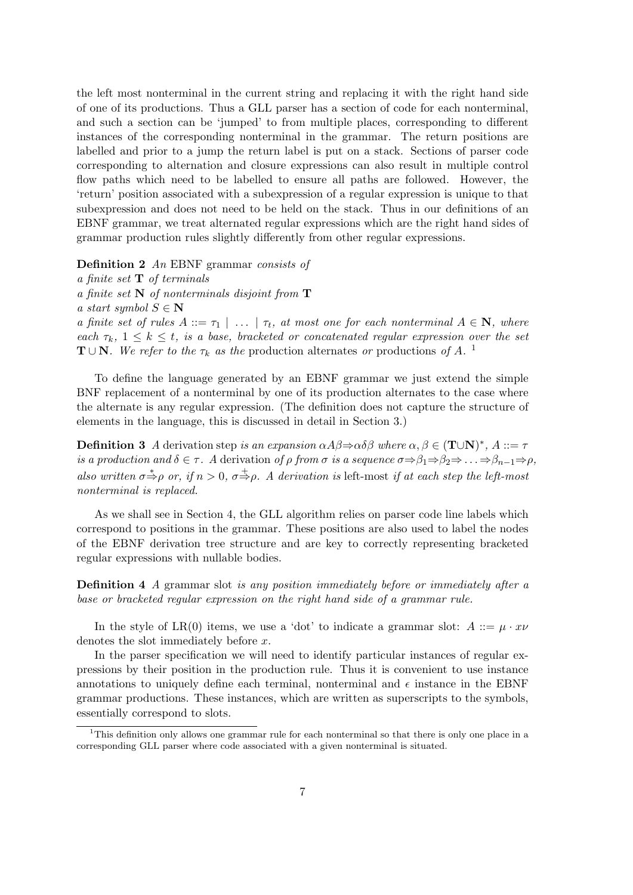the left most nonterminal in the current string and replacing it with the right hand side of one of its productions. Thus a GLL parser has a section of code for each nonterminal, and such a section can be 'jumped' to from multiple places, corresponding to different instances of the corresponding nonterminal in the grammar. The return positions are labelled and prior to a jump the return label is put on a stack. Sections of parser code corresponding to alternation and closure expressions can also result in multiple control flow paths which need to be labelled to ensure all paths are followed. However, the 'return' position associated with a subexpression of a regular expression is unique to that subexpression and does not need to be held on the stack. Thus in our definitions of an EBNF grammar, we treat alternated regular expressions which are the right hand sides of grammar production rules slightly differently from other regular expressions.

Definition 2 An EBNF grammar consists of

a finite set T of terminals

a finite set  $N$  of nonterminals disjoint from  $T$ 

a start symbol  $S \in \mathbb{N}$ 

a finite set of rules  $A ::= \tau_1 \mid \ldots \mid \tau_t$ , at most one for each nonterminal  $A \in \mathbb{N}$ , where each  $\tau_k$ ,  $1 \leq k \leq t$ , is a base, bracketed or concatenated regular expression over the set **T** ∪ **N**. We refer to the  $\tau_k$  as the production alternates or productions of A. <sup>1</sup>

To define the language generated by an EBNF grammar we just extend the simple BNF replacement of a nonterminal by one of its production alternates to the case where the alternate is any regular expression. (The definition does not capture the structure of elements in the language, this is discussed in detail in Section 3.)

**Definition 3** A derivation step is an expansion  $\alpha A \beta \Rightarrow \alpha \delta \beta$  where  $\alpha, \beta \in (T \cup N)^*$ ,  $A ::= \tau$ is a production and  $\delta \in \tau$ . A derivation of  $\rho$  from  $\sigma$  is a sequence  $\sigma \Rightarrow \beta_1 \Rightarrow \beta_2 \Rightarrow \dots \Rightarrow \beta_{n-1} \Rightarrow \rho$ , also written  $\sigma \stackrel{*}{\Rightarrow} \rho$  or, if  $n > 0$ ,  $\sigma \stackrel{+}{\Rightarrow} \rho$ . A derivation is left-most if at each step the left-most nonterminal is replaced.

As we shall see in Section 4, the GLL algorithm relies on parser code line labels which correspond to positions in the grammar. These positions are also used to label the nodes of the EBNF derivation tree structure and are key to correctly representing bracketed regular expressions with nullable bodies.

Definition 4 A grammar slot is any position immediately before or immediately after a base or bracketed regular expression on the right hand side of a grammar rule.

In the style of LR(0) items, we use a 'dot' to indicate a grammar slot:  $A ::= \mu \cdot x\nu$ denotes the slot immediately before x.

In the parser specification we will need to identify particular instances of regular expressions by their position in the production rule. Thus it is convenient to use instance annotations to uniquely define each terminal, nonterminal and  $\epsilon$  instance in the EBNF grammar productions. These instances, which are written as superscripts to the symbols, essentially correspond to slots.

<sup>&</sup>lt;sup>1</sup>This definition only allows one grammar rule for each nonterminal so that there is only one place in a corresponding GLL parser where code associated with a given nonterminal is situated.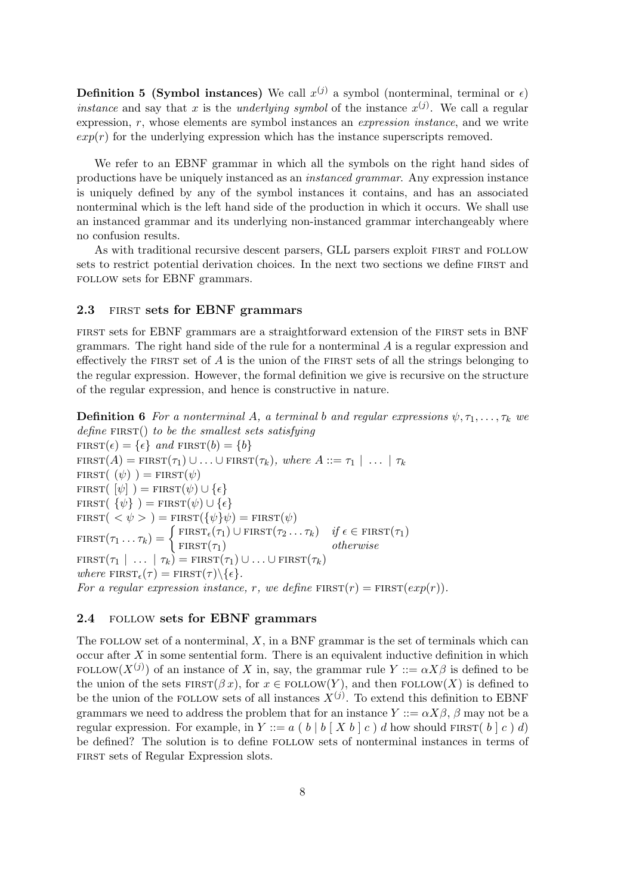**Definition 5 (Symbol instances)** We call  $x^{(j)}$  a symbol (nonterminal, terminal or  $\epsilon$ ) *instance* and say that x is the *underlying symbol* of the instance  $x^{(j)}$ . We call a regular expression, r, whose elements are symbol instances an *expression instance*, and we write  $exp(r)$  for the underlying expression which has the instance superscripts removed.

We refer to an EBNF grammar in which all the symbols on the right hand sides of productions have be uniquely instanced as an instanced grammar. Any expression instance is uniquely defined by any of the symbol instances it contains, and has an associated nonterminal which is the left hand side of the production in which it occurs. We shall use an instanced grammar and its underlying non-instanced grammar interchangeably where no confusion results.

As with traditional recursive descent parsers, GLL parsers exploit FIRST and FOLLOW sets to restrict potential derivation choices. In the next two sections we define FIRST and follow sets for EBNF grammars.

### 2.3 FIRST sets for EBNF grammars

first sets for EBNF grammars are a straightforward extension of the first sets in BNF grammars. The right hand side of the rule for a nonterminal A is a regular expression and effectively the FIRST set of  $\tilde{A}$  is the union of the FIRST sets of all the strings belonging to the regular expression. However, the formal definition we give is recursive on the structure of the regular expression, and hence is constructive in nature.

**Definition 6** For a nonterminal A, a terminal b and regular expressions  $\psi, \tau_1, \ldots, \tau_k$  we define  $FIRST()$  to be the smallest sets satisfying

 $FIRST(\epsilon) = {\epsilon}$  and  $FIRST(b) = {b}$  $FIRST(A) = FIRST(\tau_1) \cup ... \cup FIRST(\tau_k), where A ::= \tau_1 \mid ... \mid \tau_k$ FIRST $(\psi)$  ) = FIRST $(\psi)$ FIRST $(\psi)$  ) = FIRST $(\psi) \cup {\epsilon}$ FIRST $(\{\psi\})$  = FIRST $(\psi) \cup {\epsilon}$  $FIRST( $\psi > 0) = FIRST({\psi}|\psi) = FIRST(\psi)$$ FIRST $(\tau_1 \dots \tau_k) = \begin{cases} \text{FIRST}_{\epsilon}(\tau_1) \cup \text{FIRST}(\tau_2 \dots \tau_k) & \text{if } \epsilon \in \text{FIRST}(\tau_1) \\ \text{FIBST}(\tau_k) & \text{otherwise.} \end{cases}$ FIRST $(\tau_1)$  otherwise FIRST $(\tau_1 \mid \ldots \mid \tau_k)$  = FIRST $(\tau_1) \cup \ldots \cup$  FIRST $(\tau_k)$ where  $\text{FIRST}_{\epsilon}(\tau) = \text{FIRST}(\tau) \setminus \{\epsilon\}.$ For a regular expression instance, r, we define  $FIRST(r) = FIRST(exp(r)).$ 

### 2.4 follow sets for EBNF grammars

The FOLLOW set of a nonterminal,  $X$ , in a BNF grammar is the set of terminals which can occur after X in some sentential form. There is an equivalent inductive definition in which FOLLOW $(X^{(j)})$  of an instance of X in, say, the grammar rule  $Y ::= \alpha X\beta$  is defined to be the union of the sets  $FIRST(\beta x)$ , for  $x \in \text{FOLLOW}(Y)$ , and then  $\text{FOLLOW}(X)$  is defined to be the union of the FOLLOW sets of all instances  $X^{(j)}$ . To extend this definition to EBNF grammars we need to address the problem that for an instance  $Y ::= \alpha X\beta$ ,  $\beta$  may not be a regular expression. For example, in Y ::=  $a ( b | b [ X b ] c ) d$  how should FIRST $( b | c ) d$ be defined? The solution is to define follow sets of nonterminal instances in terms of first sets of Regular Expression slots.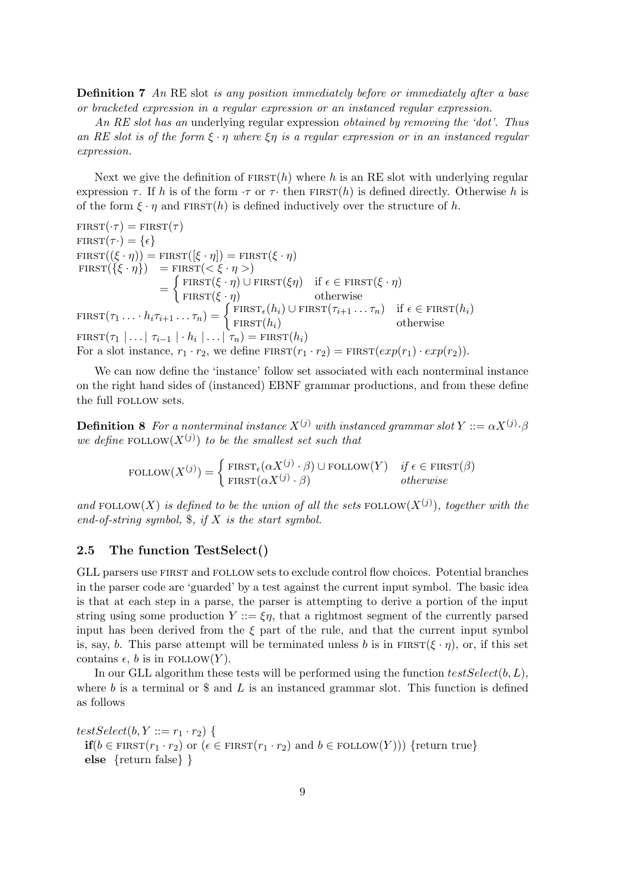Definition 7 An RE slot is any position immediately before or immediately after a base or bracketed expression in a regular expression or an instanced regular expression.

An RE slot has an underlying regular expression obtained by removing the 'dot'. Thus an RE slot is of the form  $\xi \cdot \eta$  where  $\xi \eta$  is a regular expression or in an instanced regular expression.

Next we give the definition of  $FIRST(h)$  where h is an RE slot with underlying regular expression  $\tau$ . If h is of the form  $\tau$  or  $\tau$  then FIRST(h) is defined directly. Otherwise h is of the form  $\xi \cdot \eta$  and  $FIRST(h)$  is defined inductively over the structure of h.

 $FIRST(\tau) = FIRST(\tau)$  $FIRST(\tau \cdot) = {\epsilon}$  $FIRST((\xi \cdot \eta)) = FIRST([\xi \cdot \eta]) = FIRST(\xi \cdot \eta)$  $FIRST({\xi \cdot \eta}) = FIRST({\xi \cdot \eta >})$  $=\begin{cases} \text{FIRST}(\xi \cdot \eta) \cup \text{FIRST}(\xi \eta) & \text{if } \epsilon \in \text{FIRST}(\xi \cdot \eta) \\ \text{span}(\zeta, \eta) & \text{otherwise} \end{cases}$  $FIRST(\xi \cdot \eta)$  otherwise FIRST $(\tau_1 \dots h_i \tau_{i+1} \dots \tau_n) = \begin{cases} \text{FIRST}_{\epsilon}(h_i) \cup \text{FIRST}(\tau_{i+1} \dots \tau_n) & \text{if } \epsilon \in \text{FIRST}(h_i) \\ \text{FIRST}(h_i) & \text{otherwise} \end{cases}$  $FIRST(h_i)$  otherwise FIRST $(\tau_1 | \dots | \tau_{i-1} | \cdot h_i | \dots | \tau_n) =$ FIRST $(h_i)$ For a slot instance,  $r_1 \cdot r_2$ , we define  $\text{FIRST}(r_1 \cdot r_2) = \text{FIRST}(exp(r_1) \cdot exp(r_2)).$ 

We can now define the 'instance' follow set associated with each nonterminal instance on the right hand sides of (instanced) EBNF grammar productions, and from these define the full FOLLOW sets.

**Definition 8** For a nonterminal instance  $X^{(j)}$  with instanced grammar slot  $Y ::= \alpha X^{(j)} \cdot \beta$ we define FOLLOW $(X^{(j)})$  to be the smallest set such that

$$
\text{FOLLOW}(X^{(j)}) = \begin{cases} \text{FIRST}_{\epsilon}(\alpha X^{(j)} \cdot \beta) \cup \text{FOLLOW}(Y) & \text{if } \epsilon \in \text{FIRST}(\beta) \\ \text{FIRST}(\alpha X^{(j)} \cdot \beta) & \text{otherwise} \end{cases}
$$

and FOLLOW(X) is defined to be the union of all the sets FOLLOW( $X^{(j)}$ ), together with the end-of-string symbol,  $\$, if X is the start symbol.$ 

### 2.5 The function TestSelect()

GLL parsers use FIRST and FOLLOW sets to exclude control flow choices. Potential branches in the parser code are 'guarded' by a test against the current input symbol. The basic idea is that at each step in a parse, the parser is attempting to derive a portion of the input string using some production  $Y ::= \xi \eta$ , that a rightmost segment of the currently parsed input has been derived from the  $\xi$  part of the rule, and that the current input symbol is, say, b. This parse attempt will be terminated unless b is in  $FIRST(\xi \cdot \eta)$ , or, if this set contains  $\epsilon$ , b is in FOLLOW $(Y)$ .

In our GLL algorithm these tests will be performed using the function  $testSelect(b, L)$ , where b is a terminal or  $\frac{1}{2}$  and L is an instanced grammar slot. This function is defined as follows

 $testSelect(b, Y ::= r_1 \cdot r_2)$  { **if**( $b \in \text{FIRST}(r_1 \cdot r_2)$  or ( $\epsilon \in \text{FIRST}(r_1 \cdot r_2)$  and  $b \in \text{FOLLOW}(Y)$ )) {return true} else {return false} }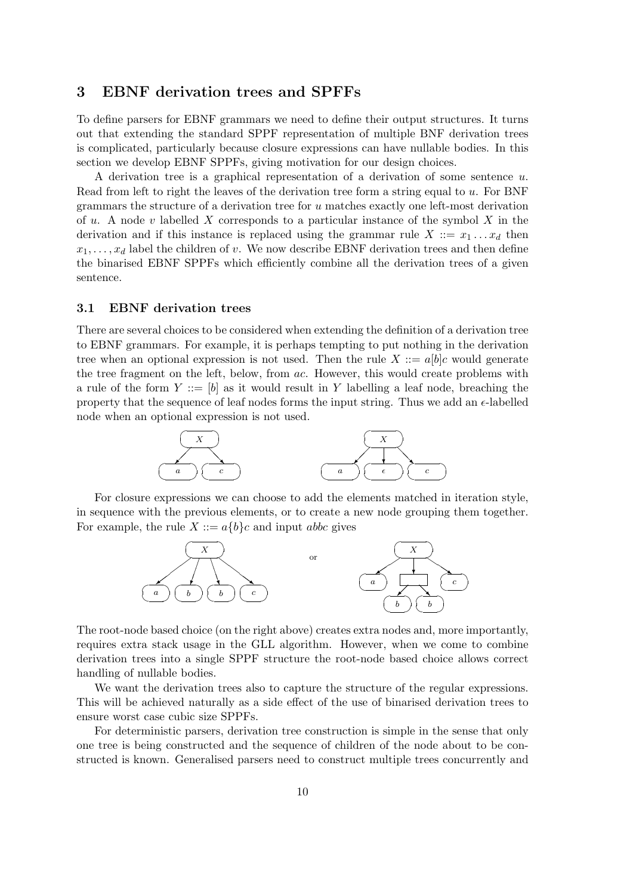# 3 EBNF derivation trees and SPFFs

To define parsers for EBNF grammars we need to define their output structures. It turns out that extending the standard SPPF representation of multiple BNF derivation trees is complicated, particularly because closure expressions can have nullable bodies. In this section we develop EBNF SPPFs, giving motivation for our design choices.

A derivation tree is a graphical representation of a derivation of some sentence  $u$ . Read from left to right the leaves of the derivation tree form a string equal to u. For BNF grammars the structure of a derivation tree for u matches exactly one left-most derivation of u. A node v labelled X corresponds to a particular instance of the symbol X in the derivation and if this instance is replaced using the grammar rule  $X ::= x_1 \dots x_d$  then  $x_1, \ldots, x_d$  label the children of v. We now describe EBNF derivation trees and then define the binarised EBNF SPPFs which efficiently combine all the derivation trees of a given sentence.

### 3.1 EBNF derivation trees

There are several choices to be considered when extending the definition of a derivation tree to EBNF grammars. For example, it is perhaps tempting to put nothing in the derivation tree when an optional expression is not used. Then the rule  $X ::= a[b]c$  would generate the tree fragment on the left, below, from ac. However, this would create problems with a rule of the form  $Y ::= [b]$  as it would result in Y labelling a leaf node, breaching the property that the sequence of leaf nodes forms the input string. Thus we add an  $\epsilon$ -labelled node when an optional expression is not used.



For closure expressions we can choose to add the elements matched in iteration style, in sequence with the previous elements, or to create a new node grouping them together. For example, the rule  $X ::= a\{b\}c$  and input above gives



The root-node based choice (on the right above) creates extra nodes and, more importantly, requires extra stack usage in the GLL algorithm. However, when we come to combine derivation trees into a single SPPF structure the root-node based choice allows correct handling of nullable bodies.

We want the derivation trees also to capture the structure of the regular expressions. This will be achieved naturally as a side effect of the use of binarised derivation trees to ensure worst case cubic size SPPFs.

For deterministic parsers, derivation tree construction is simple in the sense that only one tree is being constructed and the sequence of children of the node about to be constructed is known. Generalised parsers need to construct multiple trees concurrently and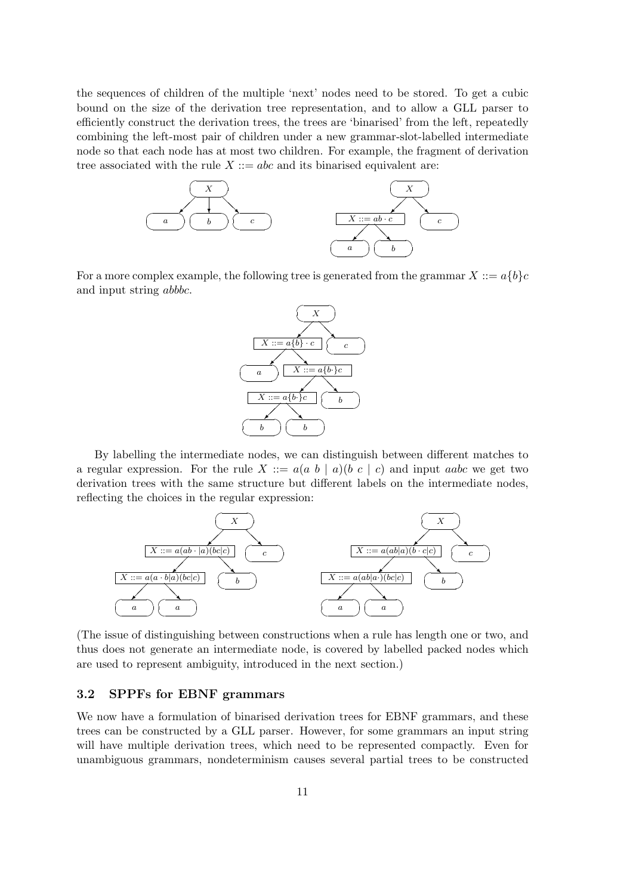the sequences of children of the multiple 'next' nodes need to be stored. To get a cubic bound on the size of the derivation tree representation, and to allow a GLL parser to efficiently construct the derivation trees, the trees are 'binarised' from the left, repeatedly combining the left-most pair of children under a new grammar-slot-labelled intermediate node so that each node has at most two children. For example, the fragment of derivation tree associated with the rule  $X ::= abc$  and its binarised equivalent are:



For a more complex example, the following tree is generated from the grammar  $X ::= a\{b\}c$ and input string abbbc.



By labelling the intermediate nodes, we can distinguish between different matches to a regular expression. For the rule X ::=  $a(a \ b \ | \ a)(b \ c \ | \ c)$  and input aabc we get two derivation trees with the same structure but different labels on the intermediate nodes, reflecting the choices in the regular expression:



(The issue of distinguishing between constructions when a rule has length one or two, and thus does not generate an intermediate node, is covered by labelled packed nodes which are used to represent ambiguity, introduced in the next section.)

### 3.2 SPPFs for EBNF grammars

We now have a formulation of binarised derivation trees for EBNF grammars, and these trees can be constructed by a GLL parser. However, for some grammars an input string will have multiple derivation trees, which need to be represented compactly. Even for unambiguous grammars, nondeterminism causes several partial trees to be constructed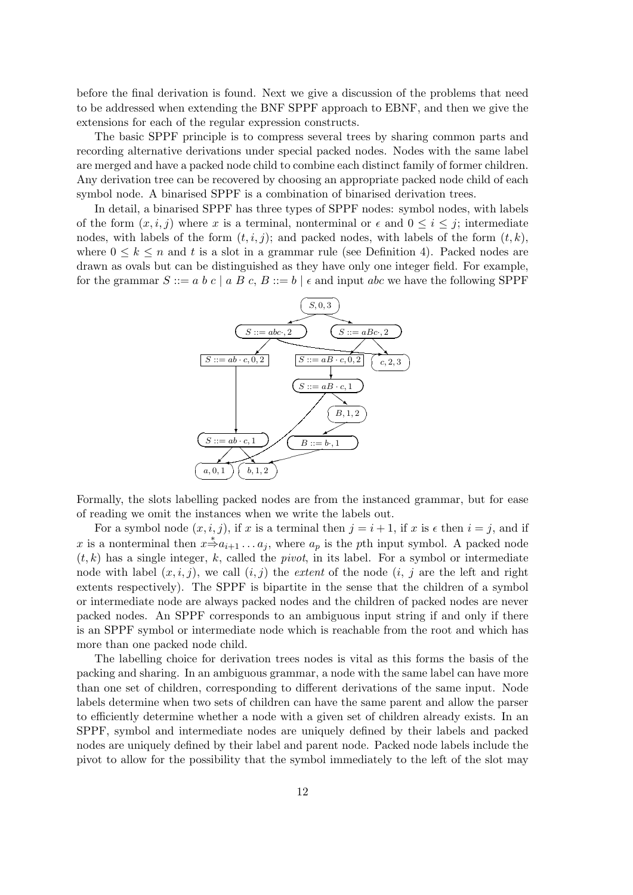before the final derivation is found. Next we give a discussion of the problems that need to be addressed when extending the BNF SPPF approach to EBNF, and then we give the extensions for each of the regular expression constructs.

The basic SPPF principle is to compress several trees by sharing common parts and recording alternative derivations under special packed nodes. Nodes with the same label are merged and have a packed node child to combine each distinct family of former children. Any derivation tree can be recovered by choosing an appropriate packed node child of each symbol node. A binarised SPPF is a combination of binarised derivation trees.

In detail, a binarised SPPF has three types of SPPF nodes: symbol nodes, with labels of the form  $(x, i, j)$  where x is a terminal, nonterminal or  $\epsilon$  and  $0 \leq i \leq j$ ; intermediate nodes, with labels of the form  $(t, i, j)$ ; and packed nodes, with labels of the form  $(t, k)$ , where  $0 \leq k \leq n$  and t is a slot in a grammar rule (see Definition 4). Packed nodes are drawn as ovals but can be distinguished as they have only one integer field. For example, for the grammar  $S ::= a b c | a B c, B ::= b | \epsilon$  and input abc we have the following SPPF



Formally, the slots labelling packed nodes are from the instanced grammar, but for ease of reading we omit the instances when we write the labels out.

For a symbol node  $(x, i, j)$ , if x is a terminal then  $j = i + 1$ , if x is  $\epsilon$  then  $i = j$ , and if x is a nonterminal then  $x \stackrel{*}{\Rightarrow} a_{i+1} \ldots a_j$ , where  $a_p$  is the pth input symbol. A packed node  $(t, k)$  has a single integer, k, called the *pivot*, in its label. For a symbol or intermediate node with label  $(x, i, j)$ , we call  $(i, j)$  the extent of the node  $(i, j)$  are the left and right extents respectively). The SPPF is bipartite in the sense that the children of a symbol or intermediate node are always packed nodes and the children of packed nodes are never packed nodes. An SPPF corresponds to an ambiguous input string if and only if there is an SPPF symbol or intermediate node which is reachable from the root and which has more than one packed node child.

The labelling choice for derivation trees nodes is vital as this forms the basis of the packing and sharing. In an ambiguous grammar, a node with the same label can have more than one set of children, corresponding to different derivations of the same input. Node labels determine when two sets of children can have the same parent and allow the parser to efficiently determine whether a node with a given set of children already exists. In an SPPF, symbol and intermediate nodes are uniquely defined by their labels and packed nodes are uniquely defined by their label and parent node. Packed node labels include the pivot to allow for the possibility that the symbol immediately to the left of the slot may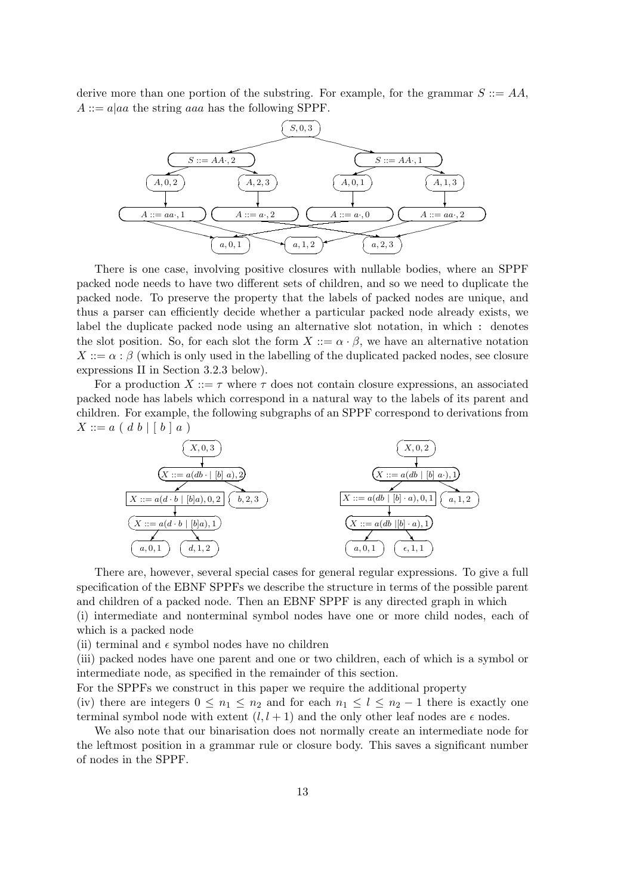derive more than one portion of the substring. For example, for the grammar  $S ::= AA$ ,  $A ::= a|aa$  the string aaa has the following SPPF.



There is one case, involving positive closures with nullable bodies, where an SPPF packed node needs to have two different sets of children, and so we need to duplicate the packed node. To preserve the property that the labels of packed nodes are unique, and thus a parser can efficiently decide whether a particular packed node already exists, we label the duplicate packed node using an alternative slot notation, in which : denotes the slot position. So, for each slot the form  $X ::= \alpha \cdot \beta$ , we have an alternative notation  $X ::= \alpha : \beta$  (which is only used in the labelling of the duplicated packed nodes, see closure expressions II in Section 3.2.3 below).

For a production  $X := \tau$  where  $\tau$  does not contain closure expressions, an associated packed node has labels which correspond in a natural way to the labels of its parent and children. For example, the following subgraphs of an SPPF correspond to derivations from  $X ::= a ( d b | [ b | a )$ 



There are, however, several special cases for general regular expressions. To give a full specification of the EBNF SPPFs we describe the structure in terms of the possible parent and children of a packed node. Then an EBNF SPPF is any directed graph in which (i) intermediate and nonterminal symbol nodes have one or more child nodes, each of which is a packed node

(ii) terminal and  $\epsilon$  symbol nodes have no children

(iii) packed nodes have one parent and one or two children, each of which is a symbol or intermediate node, as specified in the remainder of this section.

For the SPPFs we construct in this paper we require the additional property (iv) there are integers  $0 \leq n_1 \leq n_2$  and for each  $n_1 \leq l \leq n_2 - 1$  there is exactly one

terminal symbol node with extent  $(l, l + 1)$  and the only other leaf nodes are  $\epsilon$  nodes. We also note that our binarisation does not normally create an intermediate node for the leftmost position in a grammar rule or closure body. This saves a significant number of nodes in the SPPF.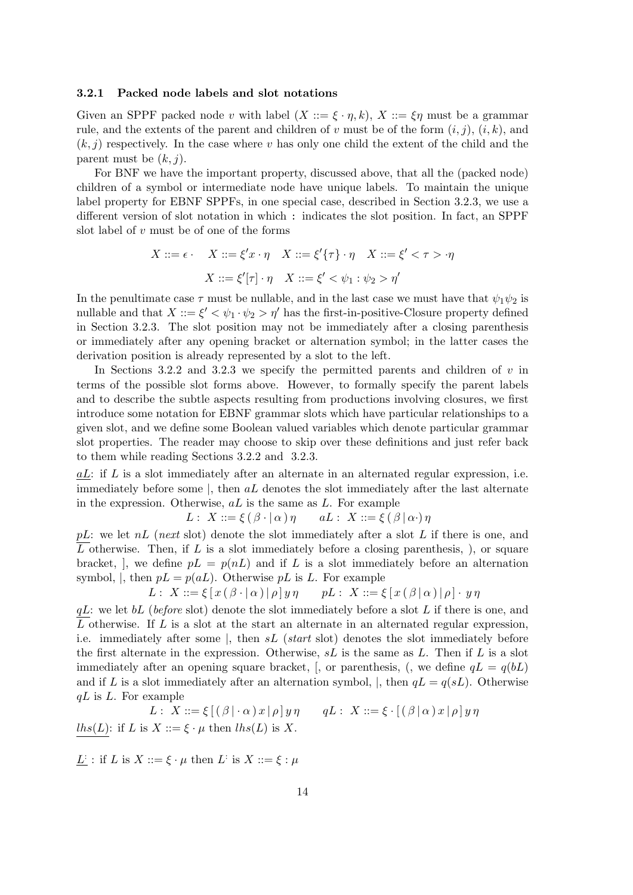#### 3.2.1 Packed node labels and slot notations

Given an SPPF packed node v with label  $(X ::= \xi \cdot \eta, k), X ::= \xi \eta$  must be a grammar rule, and the extents of the parent and children of v must be of the form  $(i, j)$ ,  $(i, k)$ , and  $(k, j)$  respectively. In the case where v has only one child the extent of the child and the parent must be  $(k, j)$ .

For BNF we have the important property, discussed above, that all the (packed node) children of a symbol or intermediate node have unique labels. To maintain the unique label property for EBNF SPPFs, in one special case, described in Section 3.2.3, we use a different version of slot notation in which : indicates the slot position. In fact, an SPPF slot label of  $v$  must be of one of the forms

$$
X ::= \epsilon \cdot X ::= \xi'x \cdot \eta \quad X ::= \xi'\{\tau\} \cdot \eta \quad X ::= \xi' < \tau > \cdot \eta
$$
\n
$$
X ::= \xi'[\tau] \cdot \eta \quad X ::= \xi' < \psi_1 : \psi_2 > \eta'
$$

In the penultimate case  $\tau$  must be nullable, and in the last case we must have that  $\psi_1\psi_2$  is nullable and that  $X ::= \xi' < \psi_1 \cdot \psi_2 > \eta'$  has the first-in-positive-Closure property defined in Section 3.2.3. The slot position may not be immediately after a closing parenthesis or immediately after any opening bracket or alternation symbol; in the latter cases the derivation position is already represented by a slot to the left.

In Sections 3.2.2 and 3.2.3 we specify the permitted parents and children of  $v$  in terms of the possible slot forms above. However, to formally specify the parent labels and to describe the subtle aspects resulting from productions involving closures, we first introduce some notation for EBNF grammar slots which have particular relationships to a given slot, and we define some Boolean valued variables which denote particular grammar slot properties. The reader may choose to skip over these definitions and just refer back to them while reading Sections 3.2.2 and 3.2.3.

 $aL$ : if L is a slot immediately after an alternate in an alternated regular expression, i.e. immediately before some  $\vert$ , then  $aL$  denotes the slot immediately after the last alternate in the expression. Otherwise,  $aL$  is the same as  $L$ . For example

$$
L: X ::= \xi(\beta \cdot |\alpha) \eta \qquad aL: X ::= \xi(\beta|\alpha \cdot) \eta
$$

pL: we let  $nL$  (next slot) denote the slot immediately after a slot L if there is one, and L otherwise. Then, if L is a slot immediately before a closing parenthesis, ), or square bracket, ], we define  $pL = p(nL)$  and if L is a slot immediately before an alternation symbol,  $\vert$ , then  $pL = p(aL)$ . Otherwise pL is L. For example

$$
L: X ::= \xi [x (\beta \cdot |\alpha) | \rho] y \eta \qquad pL: X ::= \xi [x (\beta |\alpha) | \rho] \cdot y \eta
$$

qL: we let bL (before slot) denote the slot immediately before a slot L if there is one, and L otherwise. If  $L$  is a slot at the start an alternate in an alternated regular expression, i.e. immediately after some , then sL (start slot) denotes the slot immediately before the first alternate in the expression. Otherwise,  $sL$  is the same as L. Then if L is a slot immediately after an opening square bracket, [, or parenthesis, (, we define  $qL = q(bL)$ and if L is a slot immediately after an alternation symbol,  $\vert$ , then  $qL = q(sL)$ . Otherwise  $qL$  is L. For example

$$
L: X ::= \xi [(\beta | \cdot \alpha) x | \rho] y \eta \qquad qL: X ::= \xi \cdot [(\beta | \alpha) x | \rho] y \eta
$$
  
*lhs*(L): if L is X ::=  $\xi \cdot \mu$  then *lhs*(L) is X.

 $\underline{L}$ : if L is X ::=  $\xi \cdot \mu$  then L is X ::=  $\xi : \mu$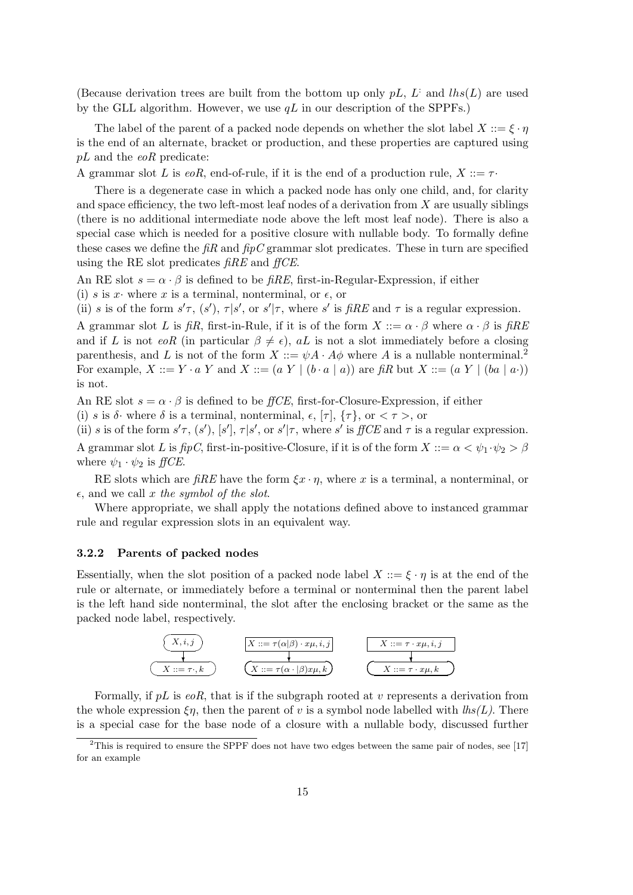(Because derivation trees are built from the bottom up only  $pL$ ,  $L^{\circ}$  and  $lhs(L)$  are used by the GLL algorithm. However, we use  $qL$  in our description of the SPPFs.)

The label of the parent of a packed node depends on whether the slot label  $X ::= \xi \cdot \eta$ is the end of an alternate, bracket or production, and these properties are captured using  $pL$  and the  $eoR$  predicate:

A grammar slot L is eoR, end-of-rule, if it is the end of a production rule,  $X ::= \tau$ .

There is a degenerate case in which a packed node has only one child, and, for clarity and space efficiency, the two left-most leaf nodes of a derivation from  $X$  are usually siblings (there is no additional intermediate node above the left most leaf node). There is also a special case which is needed for a positive closure with nullable body. To formally define these cases we define the  $\hat{f}R$  and  $\hat{f}pC$  grammar slot predicates. These in turn are specified using the RE slot predicates  $\textit{fiRE}$  and  $\textit{ffCE}$ .

An RE slot  $s = \alpha \cdot \beta$  is defined to be fiRE, first-in-Regular-Expression, if either

(i) s is x where x is a terminal, nonterminal, or  $\epsilon$ , or

(ii) s is of the form  $s'\tau$ ,  $(s')$ ,  $\tau|s'$ , or  $s'|\tau$ , where s' is fiRE and  $\tau$  is a regular expression.

A grammar slot L is fiR, first-in-Rule, if it is of the form  $X ::= \alpha \cdot \beta$  where  $\alpha \cdot \beta$  is fiRE and if L is not eoR (in particular  $\beta \neq \epsilon$ ), aL is not a slot immediately before a closing parenthesis, and L is not of the form  $X ::= \psi A \cdot A\phi$  where A is a nullable nonterminal.<sup>2</sup> For example,  $X ::= Y \cdot a \mid Y$  and  $X ::= (a \mid Y \mid (b \cdot a \mid a))$  are fix but  $X ::= (a \mid Y \mid (ba \mid a \cdot))$ is not.

An RE slot  $s = \alpha \cdot \beta$  is defined to be ffCE, first-for-Closure-Expression, if either

(i) s is  $\delta$  where  $\delta$  is a terminal, nonterminal,  $\epsilon$ ,  $[\tau]$ ,  $\{\tau\}$ , or  $\langle \tau \rangle$ , or

(ii) s is of the form  $s'\tau$ ,  $(s')$ ,  $[s']$ ,  $\tau|s'$ , or  $s'|\tau$ , where s' is ffCE and  $\tau$  is a regular expression. A grammar slot L is fipC, first-in-positive-Closure, if it is of the form  $X ::= \alpha < \psi_1 \cdot \psi_2 > \beta$ where  $\psi_1 \cdot \psi_2$  is ffCE.

RE slots which are fiRE have the form  $\xi x \cdot \eta$ , where x is a terminal, a nonterminal, or  $\epsilon$ , and we call x the symbol of the slot.

Where appropriate, we shall apply the notations defined above to instanced grammar rule and regular expression slots in an equivalent way.

#### 3.2.2 Parents of packed nodes

Essentially, when the slot position of a packed node label  $X ::= \xi \cdot \eta$  is at the end of the rule or alternate, or immediately before a terminal or nonterminal then the parent label is the left hand side nonterminal, the slot after the enclosing bracket or the same as the packed node label, respectively.



Formally, if  $pL$  is  $eoR$ , that is if the subgraph rooted at v represents a derivation from the whole expression  $\xi \eta$ , then the parent of v is a symbol node labelled with  $\ln(s/L)$ . There is a special case for the base node of a closure with a nullable body, discussed further

 $2$ This is required to ensure the SPPF does not have two edges between the same pair of nodes, see [17] for an example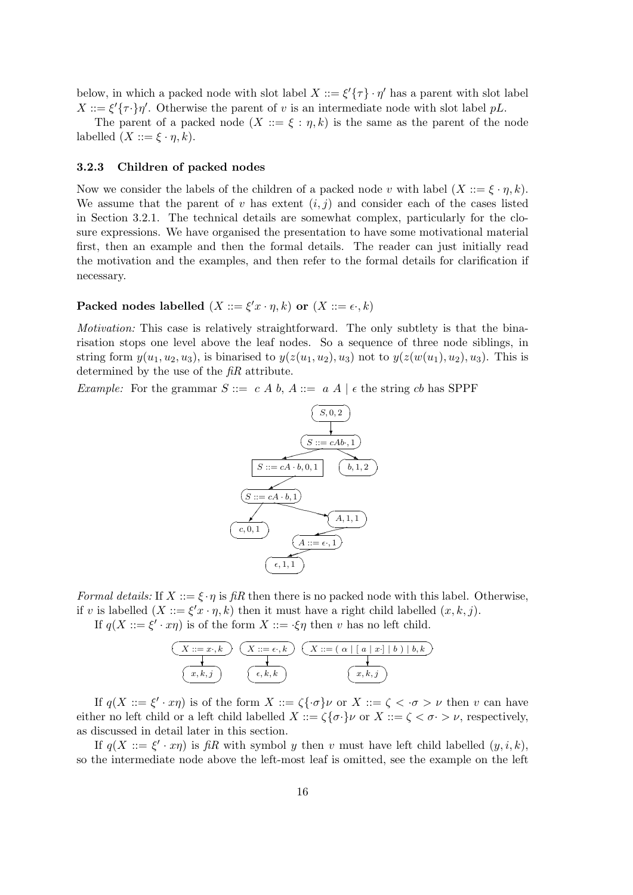below, in which a packed node with slot label  $X ::= \xi' {\tau} \cdot \eta'$  has a parent with slot label  $X ::= \xi' \{\tau \cdot \} \eta'.$  Otherwise the parent of v is an intermediate node with slot label pL.

The parent of a packed node  $(X := \xi : \eta, k)$  is the same as the parent of the node labelled  $(X ::= \xi \cdot \eta, k)$ .

#### 3.2.3 Children of packed nodes

Now we consider the labels of the children of a packed node v with label  $(X := \xi \cdot \eta, k)$ . We assume that the parent of v has extent  $(i, j)$  and consider each of the cases listed in Section 3.2.1. The technical details are somewhat complex, particularly for the closure expressions. We have organised the presentation to have some motivational material first, then an example and then the formal details. The reader can just initially read the motivation and the examples, and then refer to the formal details for clarification if necessary.

# Packed nodes labelled  $(X ::= \xi'x \cdot \eta, k)$  or  $(X ::= \epsilon \cdot, k)$

Motivation: This case is relatively straightforward. The only subtlety is that the binarisation stops one level above the leaf nodes. So a sequence of three node siblings, in string form  $y(u_1, u_2, u_3)$ , is binarised to  $y(z(u_1, u_2), u_3)$  not to  $y(z(w(u_1), u_2), u_3)$ . This is determined by the use of the fiR attribute.

*Example:* For the grammar  $S ::= c A b, A ::= a A | \epsilon$  the string cb has SPPF



Formal details: If  $X ::= \xi \cdot \eta$  is fiR then there is no packed node with this label. Otherwise, if v is labelled  $(X ::= \xi'x \cdot \eta, k)$  then it must have a right child labelled  $(x, k, j)$ .

If  $q(X ::= \xi' \cdot x\eta)$  is of the form  $X ::= \xi\eta$  then v has no left child.

$$
\begin{array}{c}\n\begin{array}{c}\n\overbrace{\left(X::=x.,k\right)} \\
\downarrow \\
\hline\n\end{array}\n\end{array}\n\quad\n\begin{array}{c}\n\overbrace{\left(X::=\epsilon.,k\right)} \\
\hline\n\end{array}\n\end{array}\n\quad\n\begin{array}{c}\n\overbrace{\left(X::=\left(\alpha\mid[\ a\mid x]\mid b\right)\mid b,k} \\
\hline\n\end{array}\n\end{array}
$$

✟ ✠

If  $q(X := \xi' \cdot x\eta)$  is of the form  $X := \zeta \{\cdot \sigma\} \nu$  or  $X := \zeta \langle \cdot \sigma \rangle \nu$  then v can have either no left child or a left child labelled  $X ::= \zeta {\{\sigma \}}\nu$  or  $X ::= \zeta < \sigma > \nu$ , respectively, as discussed in detail later in this section.

If  $q(X := \xi' \cdot x\eta)$  is fiR with symbol y then v must have left child labelled  $(y, i, k)$ , so the intermediate node above the left-most leaf is omitted, see the example on the left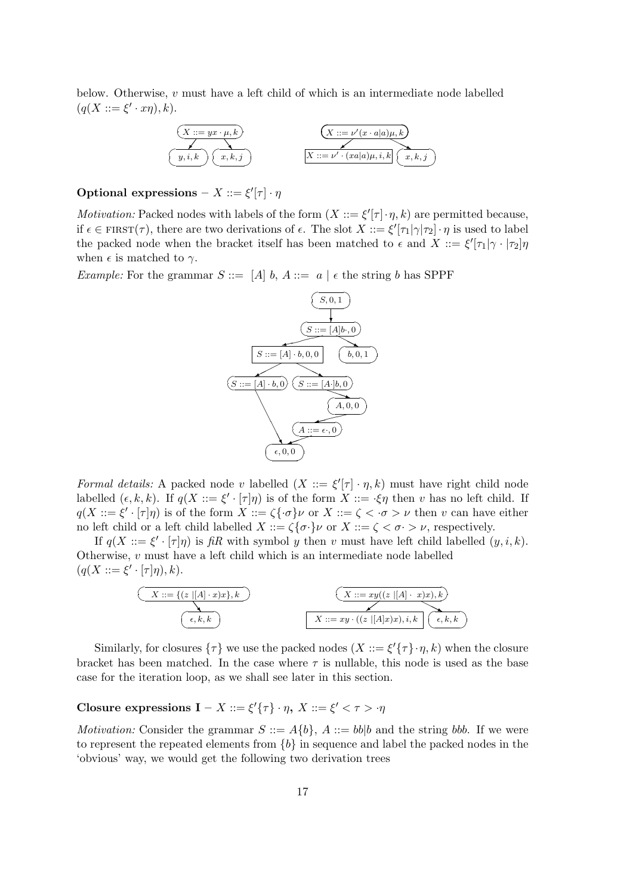below. Otherwise, v must have a left child of which is an intermediate node labelled  $(q(X ::= \xi' \cdot x\eta), k).$ 



Optional expressions  $- X := \xi'[\tau] \cdot \eta$ 

*Motivation:* Packed nodes with labels of the form  $(X ::= \xi'[\tau] \cdot \eta, k)$  are permitted because, if  $\epsilon \in \text{FIRST}(\tau)$ , there are two derivations of  $\epsilon$ . The slot  $X := \xi'[\tau_1|\gamma|\tau_2] \cdot \eta$  is used to label the packed node when the bracket itself has been matched to  $\epsilon$  and  $X := \xi'[\tau_1 | \gamma \cdot | \tau_2] \eta$ when  $\epsilon$  is matched to  $\gamma$ .

*Example:* For the grammar  $S ::= [A] b, A ::= a | \epsilon$  the string b has SPPF



Formal details: A packed node v labelled  $(X := \xi'[\tau] \cdot \eta, k)$  must have right child node labelled  $(\epsilon, k, k)$ . If  $q(X := \xi' \cdot [\tau] \eta)$  is of the form  $X := \xi \eta$  then v has no left child. If  $q(X ::= \xi' \cdot [\tau] \eta)$  is of the form  $X ::= \zeta \{\cdot \sigma\} \nu$  or  $X ::= \zeta \langle \cdot \sigma \rangle \nu$  then v can have either no left child or a left child labelled  $X ::= \zeta {\{\sigma\}}\nu$  or  $X ::= \zeta < \sigma > \nu$ , respectively.

If  $q(X := \xi' \cdot [\tau] \eta)$  is fiR with symbol y then v must have left child labelled  $(y, i, k)$ . Otherwise, v must have a left child which is an intermediate node labelled  $(q(X ::= \xi' \cdot [\tau]\eta), k).$ 

$$
(X ::= \{(z | [A] \cdot x)x\}, k)
$$
\n
$$
(X ::= xy((z | [A] \cdot x)x), k)
$$
\n
$$
(X ::= xy \cdot ((z | [A]x)x), i, k)
$$
\n
$$
(k, k, k)
$$

Similarly, for closures  $\{\tau\}$  we use the packed nodes  $(X ::= \xi'\{\tau\} \cdot \eta, k)$  when the closure bracket has been matched. In the case where  $\tau$  is nullable, this node is used as the base case for the iteration loop, as we shall see later in this section.

Closure expressions  $I - X ::= \xi' \{\tau\} \cdot \eta$ ,  $X ::= \xi' < \tau > \cdot \eta$ 

*Motivation:* Consider the grammar  $S ::= A{b}$ ,  $A ::= bb|b$  and the string bbb. If we were to represent the repeated elements from  $\{b\}$  in sequence and label the packed nodes in the 'obvious' way, we would get the following two derivation trees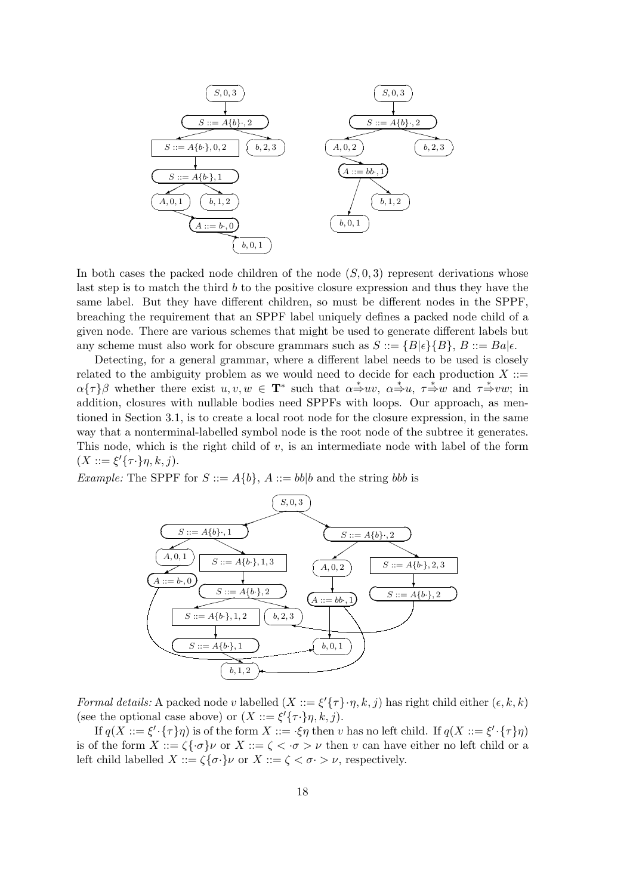

In both cases the packed node children of the node  $(S, 0, 3)$  represent derivations whose last step is to match the third b to the positive closure expression and thus they have the same label. But they have different children, so must be different nodes in the SPPF, breaching the requirement that an SPPF label uniquely defines a packed node child of a given node. There are various schemes that might be used to generate different labels but any scheme must also work for obscure grammars such as  $S ::= \{B | \epsilon\} \{B\}, B ::= Ba | \epsilon$ .

Detecting, for a general grammar, where a different label needs to be used is closely related to the ambiguity problem as we would need to decide for each production  $X ::=$  $\alpha\{\tau\}\beta$  whether there exist  $u, v, w \in \mathbf{T}^*$  such that  $\alpha \stackrel{*}{\Rightarrow} uv$ ,  $\alpha \stackrel{*}{\Rightarrow} u$ ,  $\tau \stackrel{*}{\Rightarrow} vw$  and  $\tau \stackrel{*}{\Rightarrow} vw$ ; in addition, closures with nullable bodies need SPPFs with loops. Our approach, as mentioned in Section 3.1, is to create a local root node for the closure expression, in the same way that a nonterminal-labelled symbol node is the root node of the subtree it generates. This node, which is the right child of  $v$ , is an intermediate node with label of the form  $(X ::= \xi'\{\tau\cdot\}\eta, k, j).$ 

*Example:* The SPPF for  $S ::= A\{b\}$ ,  $A ::= bb|b$  and the string bob is



Formal details: A packed node v labelled  $(X ::= \xi'\{\tau\} \cdot \eta, k, j)$  has right child either  $(\epsilon, k, k)$ (see the optional case above) or  $(X ::= \xi'\{\tau\cdot\}\eta, k, j)$ .

If  $q(X ::= \xi' \cdot {\tau \} \eta)$  is of the form  $X ::= \xi \eta$  then v has no left child. If  $q(X ::= \xi' \cdot {\tau \} \eta)$ is of the form  $X ::= \zeta {\{\cdot \sigma\}}\nu$  or  $X ::= \zeta {\langle \cdot \sigma \rangle}\nu$  then v can have either no left child or a left child labelled  $X ::= \zeta {\sigma \cdot} \nu$  or  $X ::= \zeta < \sigma \cdot > \nu$ , respectively.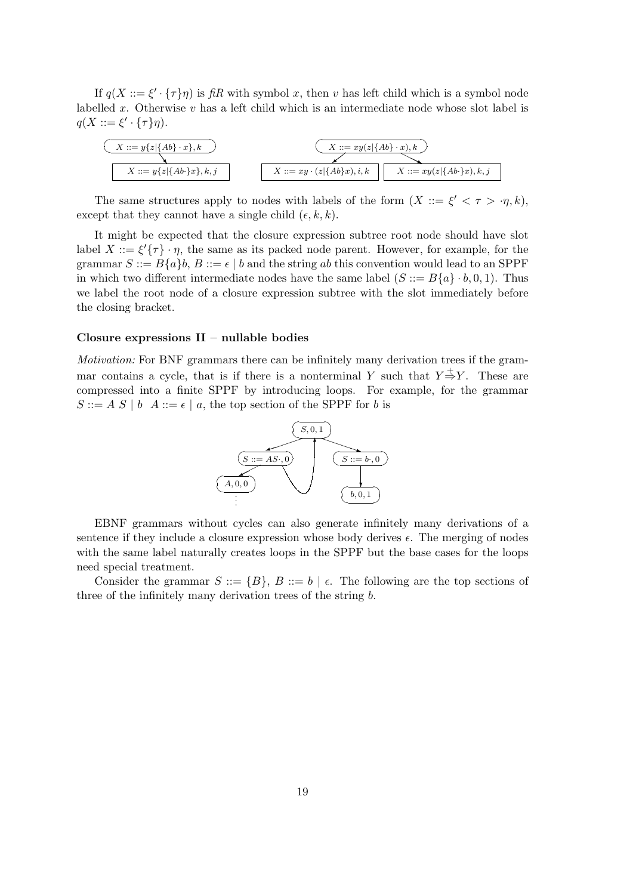If  $q(X ::= \xi' \cdot {\tau} \eta)$  is fiR with symbol x, then v has left child which is a symbol node labelled x. Otherwise v has a left child which is an intermediate node whose slot label is  $q(X ::= \xi' \cdot {\tau} \eta).$ 

| $X ::= y\{z   \{Ab\} \cdot x\}, k$  | $X ::= xy(z   \{Ab\} \cdot x), k$                                          |
|-------------------------------------|----------------------------------------------------------------------------|
|                                     |                                                                            |
| $X ::= y\{z   \{Ab\cdot\}x\}, k, j$ | $X ::= xy \cdot (z   \{Ab\}x), i, k$<br>$X ::= xy(z   \{Ab\cdot\}x), k, j$ |

The same structures apply to nodes with labels of the form  $(X := \xi' < \tau > \eta, k)$ , except that they cannot have a single child  $(\epsilon, k, k)$ .

It might be expected that the closure expression subtree root node should have slot label  $X ::= \xi' {\tau} \cdot \eta$ , the same as its packed node parent. However, for example, for the grammar  $S ::= B\{a\}b, B ::= \epsilon | b$  and the string ab this convention would lead to an SPPF in which two different intermediate nodes have the same label  $(S ::= B\{a\} \cdot b, 0, 1)$ . Thus we label the root node of a closure expression subtree with the slot immediately before the closing bracket.

#### Closure expressions II – nullable bodies

Motivation: For BNF grammars there can be infinitely many derivation trees if the grammar contains a cycle, that is if there is a nonterminal Y such that  $Y \stackrel{+}{\Rightarrow} Y$ . These are compressed into a finite SPPF by introducing loops. For example, for the grammar  $S ::= A S | b A ::= \epsilon | a$ , the top section of the SPPF for b is



EBNF grammars without cycles can also generate infinitely many derivations of a sentence if they include a closure expression whose body derives  $\epsilon$ . The merging of nodes with the same label naturally creates loops in the SPPF but the base cases for the loops need special treatment.

Consider the grammar  $S ::= \{B\}, B ::= b \mid \epsilon$ . The following are the top sections of three of the infinitely many derivation trees of the string b.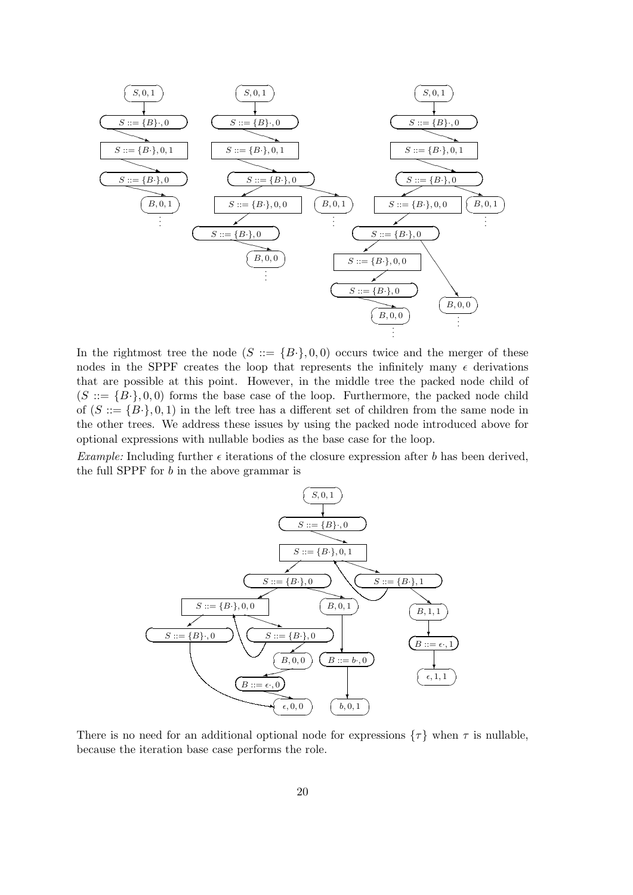

In the rightmost tree the node  $(S ::= {B \cdot}, 0, 0)$  occurs twice and the merger of these nodes in the SPPF creates the loop that represents the infinitely many  $\epsilon$  derivations that are possible at this point. However, in the middle tree the packed node child of  $(S ::= {B.\}, 0, 0)$  forms the base case of the loop. Furthermore, the packed node child of  $(S ::= \{B\cdot\}, 0, 1)$  in the left tree has a different set of children from the same node in the other trees. We address these issues by using the packed node introduced above for optional expressions with nullable bodies as the base case for the loop.

Example: Including further  $\epsilon$  iterations of the closure expression after b has been derived, the full SPPF for  $b$  in the above grammar is



There is no need for an additional optional node for expressions  $\{\tau\}$  when  $\tau$  is nullable, because the iteration base case performs the role.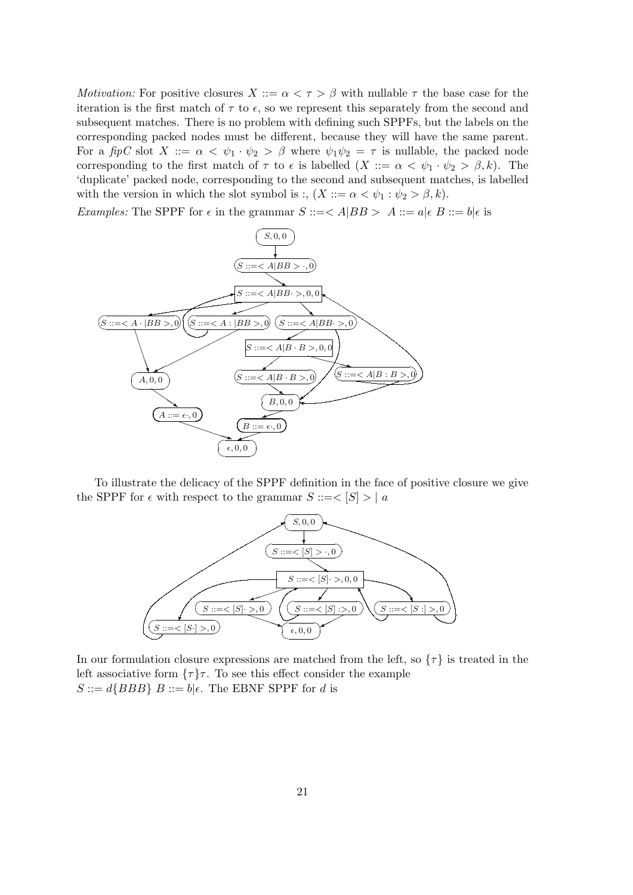*Motivation:* For positive closures  $X ::= \alpha \langle \tau \rangle \beta$  with nullable  $\tau$  the base case for the iteration is the first match of  $\tau$  to  $\epsilon$ , so we represent this separately from the second and subsequent matches. There is no problem with defining such SPPFs, but the labels on the corresponding packed nodes must be different, because they will have the same parent. For a fipC slot X ::=  $\alpha < \psi_1 \cdot \psi_2 > \beta$  where  $\psi_1 \psi_2 = \tau$  is nullable, the packed node corresponding to the first match of  $\tau$  to  $\epsilon$  is labelled  $(X := \alpha < \psi_1 \cdot \psi_2 > \beta, k)$ . The 'duplicate' packed node, corresponding to the second and subsequent matches, is labelled with the version in which the slot symbol is :,  $(X ::= \alpha < \psi_1 : \psi_2 > \beta, k)$ .

*Examples:* The SPPF for  $\epsilon$  in the grammar  $S ::= \langle A|BB \rangle$   $A ::= a | \epsilon B ::= b | \epsilon$  is



To illustrate the delicacy of the SPPF definition in the face of positive closure we give the SPPF for  $\epsilon$  with respect to the grammar  $S ::= < |S| > |a|$ 



In our formulation closure expressions are matched from the left, so  $\{\tau\}$  is treated in the left associative form  $\{\tau\}$ . To see this effect consider the example  $S ::= d\{BBB\}$   $B ::= b | \epsilon$ . The EBNF SPPF for d is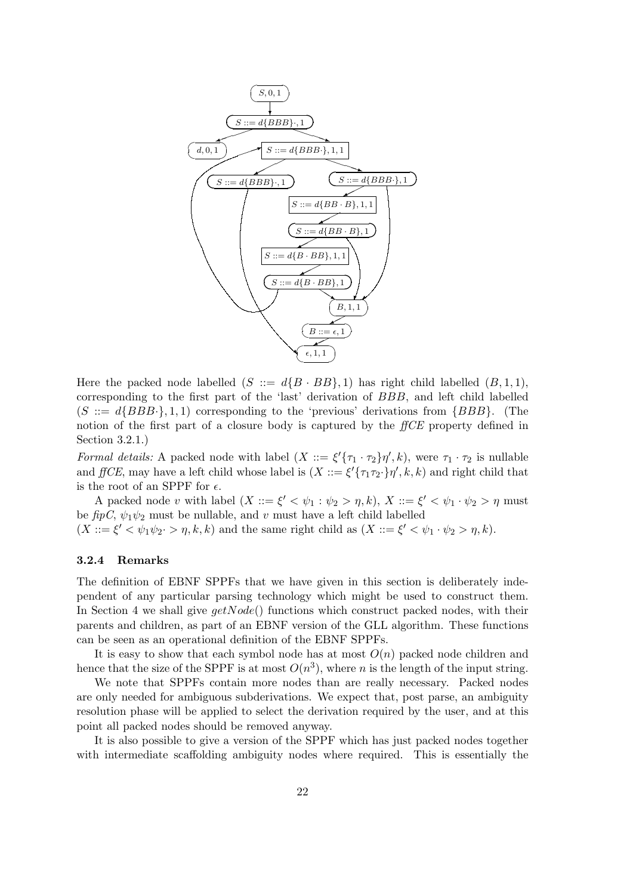

Here the packed node labelled  $(S ::= d\{B \cdot BB\}, 1)$  has right child labelled  $(B, 1, 1)$ , corresponding to the first part of the 'last' derivation of BBB, and left child labelled  $(S ::= d{BBB\cdot}, 1, 1)$  corresponding to the 'previous' derivations from  ${BBB}$ . (The notion of the first part of a closure body is captured by the ffCE property defined in Section 3.2.1.)

Formal details: A packed node with label  $(X := \xi'\{\tau_1 \cdot \tau_2\}\eta', k)$ , were  $\tau_1 \cdot \tau_2$  is nullable and  $\text{ffCE}$ , may have a left child whose label is  $(X ::= \xi'\{\tau_1\tau_2\}\eta', k, k)$  and right child that is the root of an SPPF for  $\epsilon$ .

A packed node v with label  $(X ::= \xi' < \psi_1 : \psi_2 > \eta, k), X ::= \xi' < \psi_1 \cdot \psi_2 > \eta$  must be  $fipC$ ,  $\psi_1\psi_2$  must be nullable, and v must have a left child labelled  $(X ::= \xi' < \psi_1 \psi_2 > \eta, k, k)$  and the same right child as  $(X ::= \xi' < \psi_1 \cdot \psi_2 > \eta, k)$ .

#### 3.2.4 Remarks

The definition of EBNF SPPFs that we have given in this section is deliberately independent of any particular parsing technology which might be used to construct them. In Section 4 we shall give  $qetNode()$  functions which construct packed nodes, with their parents and children, as part of an EBNF version of the GLL algorithm. These functions can be seen as an operational definition of the EBNF SPPFs.

It is easy to show that each symbol node has at most  $O(n)$  packed node children and hence that the size of the SPPF is at most  $O(n^3)$ , where n is the length of the input string.

We note that SPPFs contain more nodes than are really necessary. Packed nodes are only needed for ambiguous subderivations. We expect that, post parse, an ambiguity resolution phase will be applied to select the derivation required by the user, and at this point all packed nodes should be removed anyway.

It is also possible to give a version of the SPPF which has just packed nodes together with intermediate scaffolding ambiguity nodes where required. This is essentially the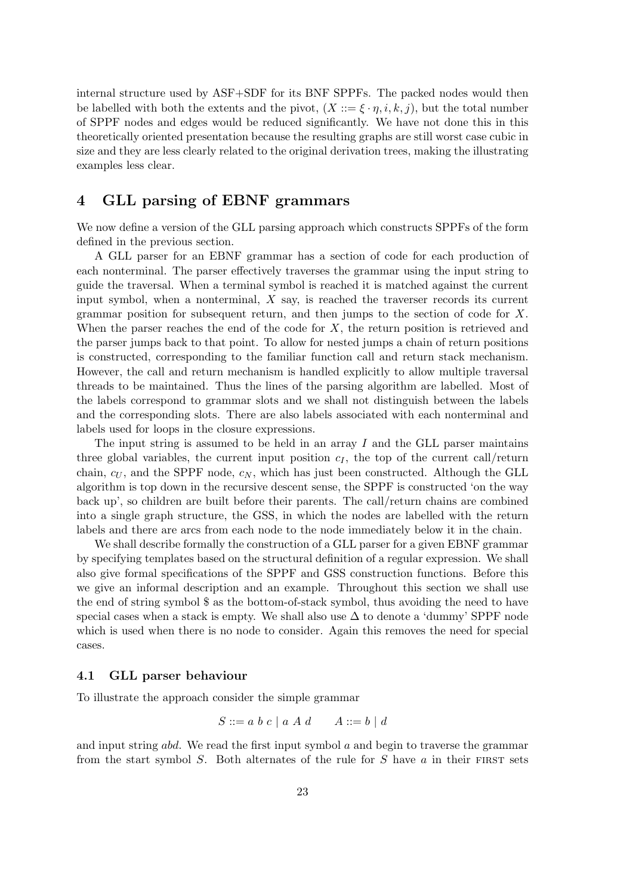internal structure used by ASF+SDF for its BNF SPPFs. The packed nodes would then be labelled with both the extents and the pivot,  $(X ::= \xi \cdot \eta, i, k, j)$ , but the total number of SPPF nodes and edges would be reduced significantly. We have not done this in this theoretically oriented presentation because the resulting graphs are still worst case cubic in size and they are less clearly related to the original derivation trees, making the illustrating examples less clear.

# 4 GLL parsing of EBNF grammars

We now define a version of the GLL parsing approach which constructs SPPFs of the form defined in the previous section.

A GLL parser for an EBNF grammar has a section of code for each production of each nonterminal. The parser effectively traverses the grammar using the input string to guide the traversal. When a terminal symbol is reached it is matched against the current input symbol, when a nonterminal,  $X$  say, is reached the traverser records its current grammar position for subsequent return, and then jumps to the section of code for  $X$ . When the parser reaches the end of the code for  $X$ , the return position is retrieved and the parser jumps back to that point. To allow for nested jumps a chain of return positions is constructed, corresponding to the familiar function call and return stack mechanism. However, the call and return mechanism is handled explicitly to allow multiple traversal threads to be maintained. Thus the lines of the parsing algorithm are labelled. Most of the labels correspond to grammar slots and we shall not distinguish between the labels and the corresponding slots. There are also labels associated with each nonterminal and labels used for loops in the closure expressions.

The input string is assumed to be held in an array I and the GLL parser maintains three global variables, the current input position  $c_I$ , the top of the current call/return chain,  $c_U$ , and the SPPF node,  $c_N$ , which has just been constructed. Although the GLL algorithm is top down in the recursive descent sense, the SPPF is constructed 'on the way back up', so children are built before their parents. The call/return chains are combined into a single graph structure, the GSS, in which the nodes are labelled with the return labels and there are arcs from each node to the node immediately below it in the chain.

We shall describe formally the construction of a GLL parser for a given EBNF grammar by specifying templates based on the structural definition of a regular expression. We shall also give formal specifications of the SPPF and GSS construction functions. Before this we give an informal description and an example. Throughout this section we shall use the end of string symbol \$ as the bottom-of-stack symbol, thus avoiding the need to have special cases when a stack is empty. We shall also use  $\Delta$  to denote a 'dummy' SPPF node which is used when there is no node to consider. Again this removes the need for special cases.

### 4.1 GLL parser behaviour

To illustrate the approach consider the simple grammar

$$
S ::= a b c | a A d \qquad A ::= b | d
$$

and input string  $abd$ . We read the first input symbol  $a$  and begin to traverse the grammar from the start symbol S. Both alternates of the rule for  $S$  have  $a$  in their FIRST sets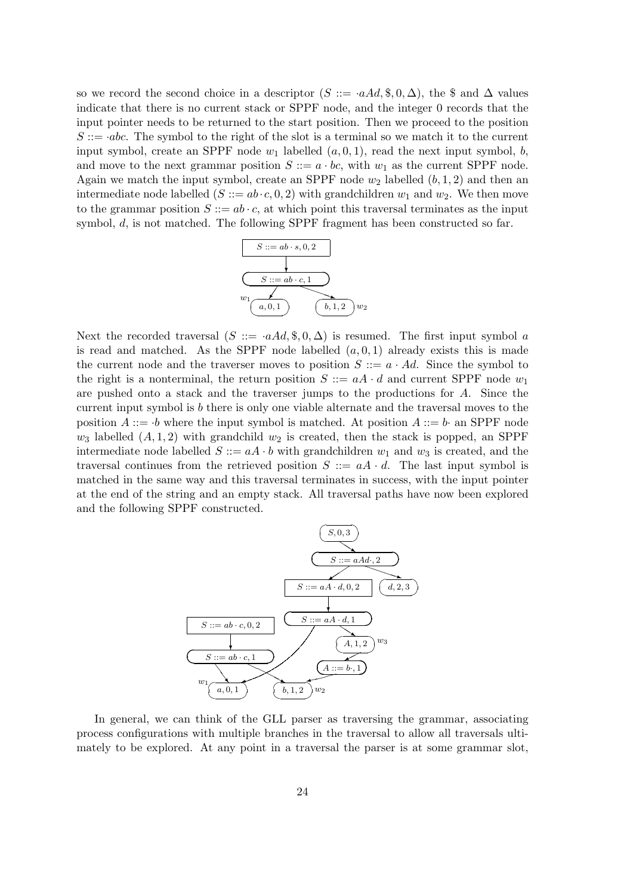so we record the second choice in a descriptor  $(S ::= \cdot aAd, \xi, 0, \Delta)$ , the  $\hat{\xi}$  and  $\Delta$  values indicate that there is no current stack or SPPF node, and the integer 0 records that the input pointer needs to be returned to the start position. Then we proceed to the position  $S ::= abc$ . The symbol to the right of the slot is a terminal so we match it to the current input symbol, create an SPPF node  $w_1$  labelled  $(a, 0, 1)$ , read the next input symbol, b, and move to the next grammar position  $S ::= a \cdot bc$ , with  $w_1$  as the current SPPF node. Again we match the input symbol, create an SPPF node  $w_2$  labelled  $(b, 1, 2)$  and then an intermediate node labelled  $(S ::= ab \cdot c, 0, 2)$  with grandchildren  $w_1$  and  $w_2$ . We then move to the grammar position  $S ::= ab \cdot c$ , at which point this traversal terminates as the input symbol, d, is not matched. The following SPPF fragment has been constructed so far.



Next the recorded traversal  $(S ::= \{aA_d, \{a, 0, \Delta\})$  is resumed. The first input symbol a is read and matched. As the SPPF node labelled  $(a, 0, 1)$  already exists this is made the current node and the traverser moves to position  $S ::= a \cdot Ad$ . Since the symbol to the right is a nonterminal, the return position  $S ::= aA \cdot d$  and current SPPF node  $w_1$ are pushed onto a stack and the traverser jumps to the productions for A. Since the current input symbol is b there is only one viable alternate and the traversal moves to the position  $A ::= b$  where the input symbol is matched. At position  $A ::= b$  an SPPF node  $w_3$  labelled  $(A, 1, 2)$  with grandchild  $w_2$  is created, then the stack is popped, an SPPF intermediate node labelled  $S ::= aA \cdot b$  with grandchildren  $w_1$  and  $w_3$  is created, and the traversal continues from the retrieved position  $S ::= aA \cdot d$ . The last input symbol is matched in the same way and this traversal terminates in success, with the input pointer at the end of the string and an empty stack. All traversal paths have now been explored and the following SPPF constructed.



In general, we can think of the GLL parser as traversing the grammar, associating process configurations with multiple branches in the traversal to allow all traversals ultimately to be explored. At any point in a traversal the parser is at some grammar slot,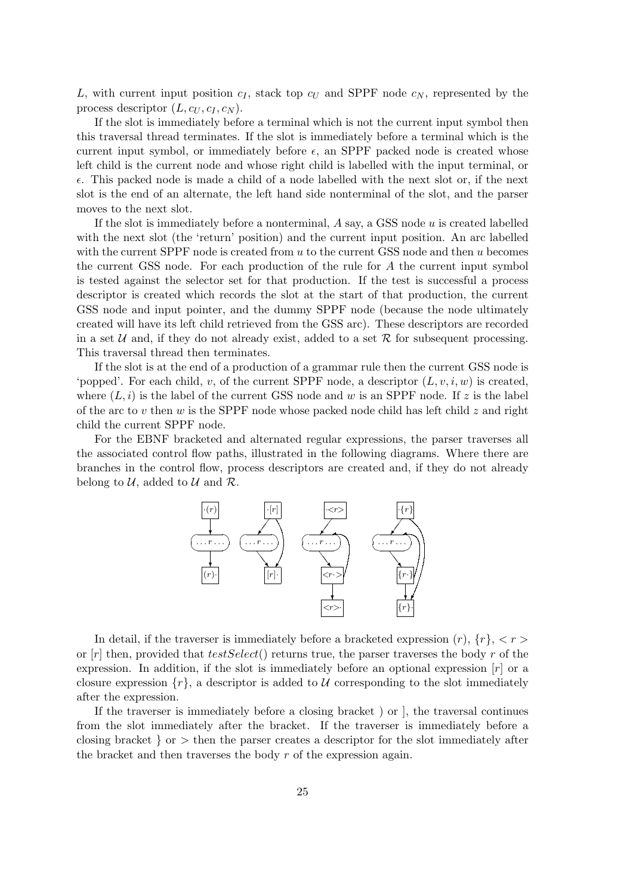L, with current input position  $c_I$ , stack top  $c_U$  and SPPF node  $c_N$ , represented by the process descriptor  $(L, c_U, c_I, c_N)$ .

If the slot is immediately before a terminal which is not the current input symbol then this traversal thread terminates. If the slot is immediately before a terminal which is the current input symbol, or immediately before  $\epsilon$ , an SPPF packed node is created whose left child is the current node and whose right child is labelled with the input terminal, or  $\epsilon$ . This packed node is made a child of a node labelled with the next slot or, if the next slot is the end of an alternate, the left hand side nonterminal of the slot, and the parser moves to the next slot.

If the slot is immediately before a nonterminal,  $A$  say, a GSS node  $u$  is created labelled with the next slot (the 'return' position) and the current input position. An arc labelled with the current SPPF node is created from  $u$  to the current GSS node and then  $u$  becomes the current GSS node. For each production of the rule for A the current input symbol is tested against the selector set for that production. If the test is successful a process descriptor is created which records the slot at the start of that production, the current GSS node and input pointer, and the dummy SPPF node (because the node ultimately created will have its left child retrieved from the GSS arc). These descriptors are recorded in a set  $\mathcal U$  and, if they do not already exist, added to a set  $\mathcal R$  for subsequent processing. This traversal thread then terminates.

If the slot is at the end of a production of a grammar rule then the current GSS node is 'popped'. For each child, v, of the current SPPF node, a descriptor  $(L, v, i, w)$  is created. where  $(L, i)$  is the label of the current GSS node and w is an SPPF node. If z is the label of the arc to v then w is the SPPF node whose packed node child has left child  $z$  and right child the current SPPF node.

For the EBNF bracketed and alternated regular expressions, the parser traverses all the associated control flow paths, illustrated in the following diagrams. Where there are branches in the control flow, process descriptors are created and, if they do not already belong to  $U$ , added to  $U$  and  $\mathcal{R}$ .



In detail, if the traverser is immediately before a bracketed expression  $(r)$ ,  $\{r\}$ ,  $\langle r \rangle$ or  $[r]$  then, provided that  $testSelect()$  returns true, the parser traverses the body r of the expression. In addition, if the slot is immediately before an optional expression  $[r]$  or a closure expression  $\{r\}$ , a descriptor is added to U corresponding to the slot immediately after the expression.

If the traverser is immediately before a closing bracket ) or ], the traversal continues from the slot immediately after the bracket. If the traverser is immediately before a closing bracket  $\}$  or  $>$  then the parser creates a descriptor for the slot immediately after the bracket and then traverses the body  $r$  of the expression again.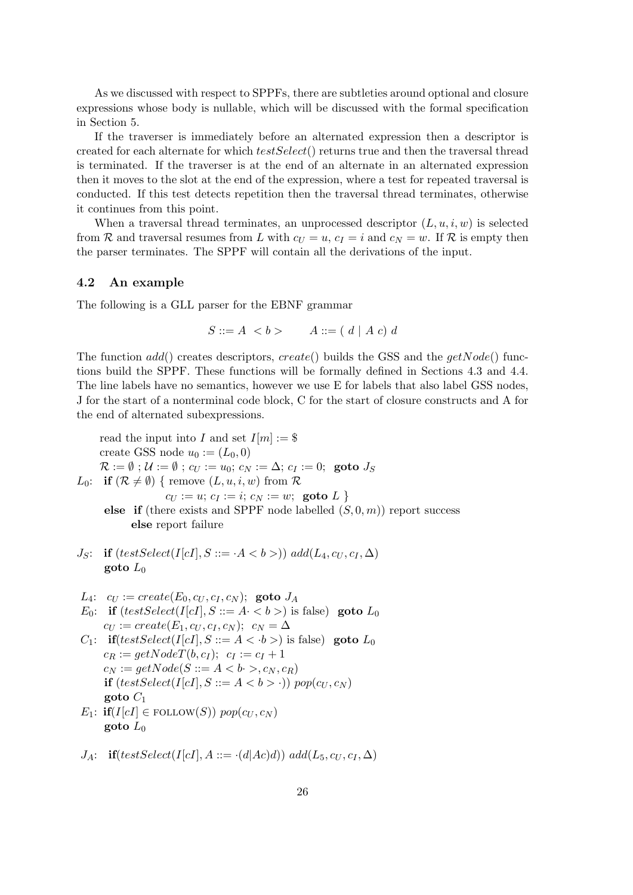As we discussed with respect to SPPFs, there are subtleties around optional and closure expressions whose body is nullable, which will be discussed with the formal specification in Section 5.

If the traverser is immediately before an alternated expression then a descriptor is created for each alternate for which  $testSelect()$  returns true and then the traversal thread is terminated. If the traverser is at the end of an alternate in an alternated expression then it moves to the slot at the end of the expression, where a test for repeated traversal is conducted. If this test detects repetition then the traversal thread terminates, otherwise it continues from this point.

When a traversal thread terminates, an unprocessed descriptor  $(L, u, i, w)$  is selected from R and traversal resumes from L with  $c_U = u$ ,  $c_I = i$  and  $c_N = w$ . If R is empty then the parser terminates. The SPPF will contain all the derivations of the input.

#### 4.2 An example

The following is a GLL parser for the EBNF grammar

$$
S ::= A \langle b \rangle \qquad A ::= (d | A c) d
$$

The function  $add()$  creates descriptors, create() builds the GSS and the  $getNode()$  functions build the SPPF. These functions will be formally defined in Sections 4.3 and 4.4. The line labels have no semantics, however we use E for labels that also label GSS nodes, J for the start of a nonterminal code block, C for the start of closure constructs and A for the end of alternated subexpressions.

read the input into I and set  $I[m] :=$ \$ create GSS node  $u_0 := (L_0, 0)$  $\mathcal{R} := \emptyset$ ;  $\mathcal{U} := \emptyset$ ;  $c_U := u_0$ ;  $c_N := \Delta$ ;  $c_I := 0$ ; goto  $J_S$  $L_0$ : if  $(\mathcal{R} \neq \emptyset)$  { remove  $(L, u, i, w)$  from  $\mathcal{R}$  $c_U := u$ ;  $c_I := i$ ;  $c_N := w$ ; goto  $L \}$ else if (there exists and SPPF node labelled  $(S, 0, m)$ ) report success else report failure  $J_S$ : if  $(testSelect[I[c], S ::= \cdot A < b>)$  add $(L_4, c_U, c_I, \Delta)$ goto L<sup>0</sup>  $L_4: c_U := create(E_0, c_U, c_I, c_N);$  goto  $J_A$  $E_0$ : if  $(testSelect[I[c], S ::= A \lt b>)$  is false) goto  $L_0$  $c_U := create(E_1, c_U, c_I, c_N); c_N = \Delta$ C<sub>1</sub>: **if**(testSelect(I[cI], S ::= A < ·b >) is false) **goto**  $L_0$ 

- $c_R := getNodeT(b, c_I); c_I := c_I + 1$  $c_N := getNode(S ::= A < b >, c_N, c_R)$ if  $(testSelect[I[c], S ::= A < b > \cdot))$  pop $(c_U, c_N)$ goto  $C_1$
- $E_1$ : if( $I[c] \in \text{FOLLOW}(S))$  pop( $c_U, c_N$ ) goto L<sup>0</sup>
- $J_A$ : if(testSelect(I[cI],  $A ::= \cdot (d|Ac)d)$ ) add( $L_5$ ,  $c_U$ ,  $c_I$ ,  $\Delta$ )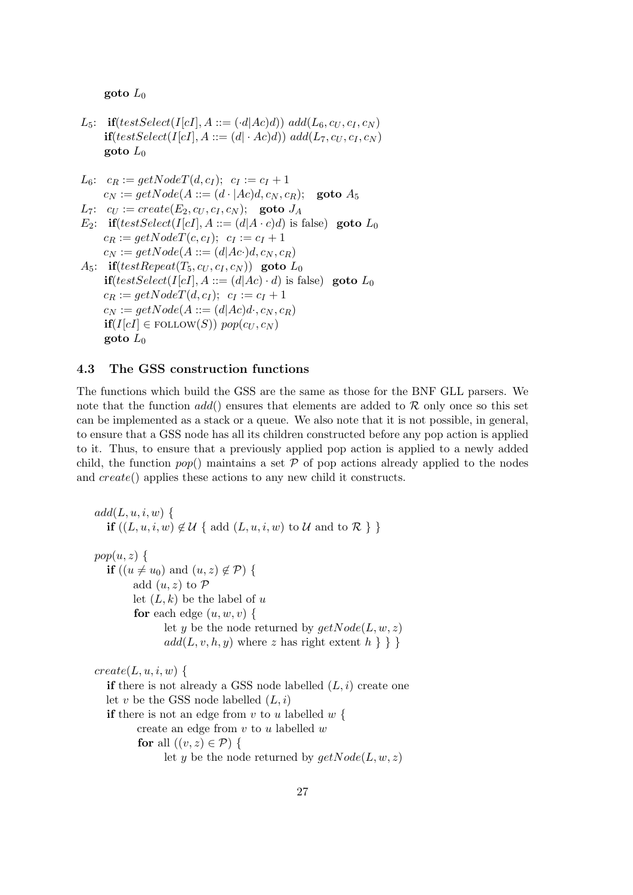goto L<sup>0</sup>

- L<sub>5</sub>: **if**(testSelect(I[cI],  $A ::= (\cdot d | Ac)d$ )) add( $L_6, c_U, c_I, c_N$ )  $\textbf{if}(testSelect[I[c], A ::= (d \mid A[c], A))$  add $(L_7, c_1, c_1, c_N)$ goto L<sup>0</sup>
- $L_6$ :  $c_R := getNodeT(d, c_I); c_I := c_I + 1$  $c_N := getNode(A ::= (d \cdot | Ac)d, c_N, c_R);$  goto  $A_5$
- $L_7: c_U := create(E_2, c_U, c_I, c_N);$  goto  $J_A$  $E_2$ : if(testSelect(I[cI],  $A ::= (d|A \cdot c)d)$  is false) goto  $L_0$  $c_R := getNodeT(c, c_I); c_I := c_I + 1$  $c_N := getNode(A ::= (d|Ac) d, c_N, c_R)$
- A<sub>5</sub>: if $(testRepeat(T_5, c_U, c_I, c_N))$  goto  $L_0$  $\mathbf{if}(testSelect(I[c], A ::= (d|Ac) \cdot d) \text{ is false}) \text{ goto } L_0$  $c_R := getNodeT(d, c_I); c_I := c_I + 1$  $c_N := getNode(A ::= (d|Ac)d \cdot, c_N, c_R)$  $if(I[c] \in \text{FOLLOW}(S))$  pop $(c_U, c_N)$ goto L<sup>0</sup>

### 4.3 The GSS construction functions

The functions which build the GSS are the same as those for the BNF GLL parsers. We note that the function  $add()$  ensures that elements are added to  $\mathcal{R}$  only once so this set can be implemented as a stack or a queue. We also note that it is not possible, in general, to ensure that a GSS node has all its children constructed before any pop action is applied to it. Thus, to ensure that a previously applied pop action is applied to a newly added child, the function  $pop()$  maintains a set P of pop actions already applied to the nodes and create() applies these actions to any new child it constructs.

 $add(L, u, i, w)$  { if  $((L, u, i, w) \notin \mathcal{U} \{ \text{add } (L, u, i, w) \text{ to } \mathcal{U} \text{ and to } \mathcal{R} \} \}$  $pop(u, z)$  { **if**  $((u \neq u_0)$  and  $(u, z) \notin \mathcal{P})$  { add  $(u, z)$  to  $\mathcal{P}$ let  $(L, k)$  be the label of u for each edge  $(u, w, v)$  { let y be the node returned by  $qetNode(L, w, z)$  $add(L, v, h, y)$  where z has right extent  $h \}$ }  $create(L, u, i, w)$  { if there is not already a GSS node labelled  $(L, i)$  create one let v be the GSS node labelled  $(L, i)$ **if** there is not an edge from v to u labelled  $w \nvert$ create an edge from  $v$  to  $u$  labelled  $w$ for all  $((v, z) \in \mathcal{P})$  { let y be the node returned by  $getNode(L, w, z)$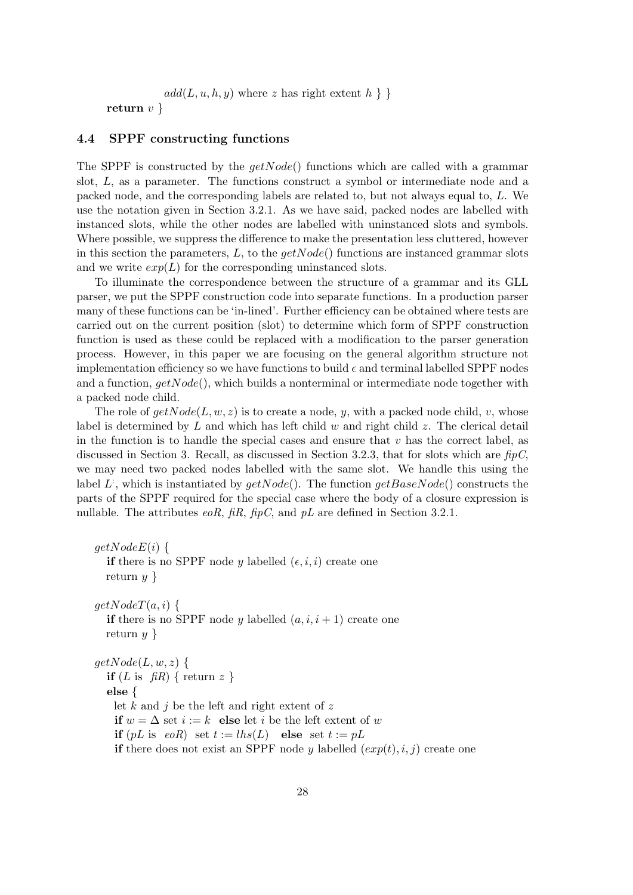$add(L, u, h, y)$  where z has right extent  $h \}$ 

return  $v \}$ 

#### 4.4 SPPF constructing functions

The SPPF is constructed by the  $getNode()$  functions which are called with a grammar slot, L, as a parameter. The functions construct a symbol or intermediate node and a packed node, and the corresponding labels are related to, but not always equal to, L. We use the notation given in Section 3.2.1. As we have said, packed nodes are labelled with instanced slots, while the other nodes are labelled with uninstanced slots and symbols. Where possible, we suppress the difference to make the presentation less cluttered, however in this section the parameters, L, to the  $qetNode()$  functions are instanced grammar slots and we write  $exp(L)$  for the corresponding uninstanced slots.

To illuminate the correspondence between the structure of a grammar and its GLL parser, we put the SPPF construction code into separate functions. In a production parser many of these functions can be 'in-lined'. Further efficiency can be obtained where tests are carried out on the current position (slot) to determine which form of SPPF construction function is used as these could be replaced with a modification to the parser generation process. However, in this paper we are focusing on the general algorithm structure not implementation efficiency so we have functions to build  $\epsilon$  and terminal labelled SPPF nodes and a function,  $getNode()$ , which builds a nonterminal or intermediate node together with a packed node child.

The role of  $getNode(L, w, z)$  is to create a node, y, with a packed node child, v, whose label is determined by L and which has left child w and right child z. The clerical detail in the function is to handle the special cases and ensure that  $v$  has the correct label, as discussed in Section 3. Recall, as discussed in Section 3.2.3, that for slots which are  $f_{\rm}p_{\rm}C$ , we may need two packed nodes labelled with the same slot. We handle this using the label L<sup>:</sup>, which is instantiated by  $getNode()$ . The function  $getBaseNode()$  constructs the parts of the SPPF required for the special case where the body of a closure expression is nullable. The attributes eoR, fiR, fipC, and pL are defined in Section 3.2.1.

 $getNodeE(i)$ if there is no SPPF node y labelled  $(\epsilon, i, i)$  create one return  $y \}$  $getNodeT(a, i)$  { **if** there is no SPPF node y labelled  $(a, i, i + 1)$  create one return  $y \}$  $getNode(L, w, z)$  { if  $(L \text{ is } f \in R) \{ \text{ return } z \}$ else { let k and i be the left and right extent of z if  $w = \Delta$  set  $i := k$  else let i be the left extent of w if  $(pL \text{ is } e \circ R)$  set  $t := lhs(L)$  else set  $t := pL$ if there does not exist an SPPF node y labelled  $(exp(t), i, j)$  create one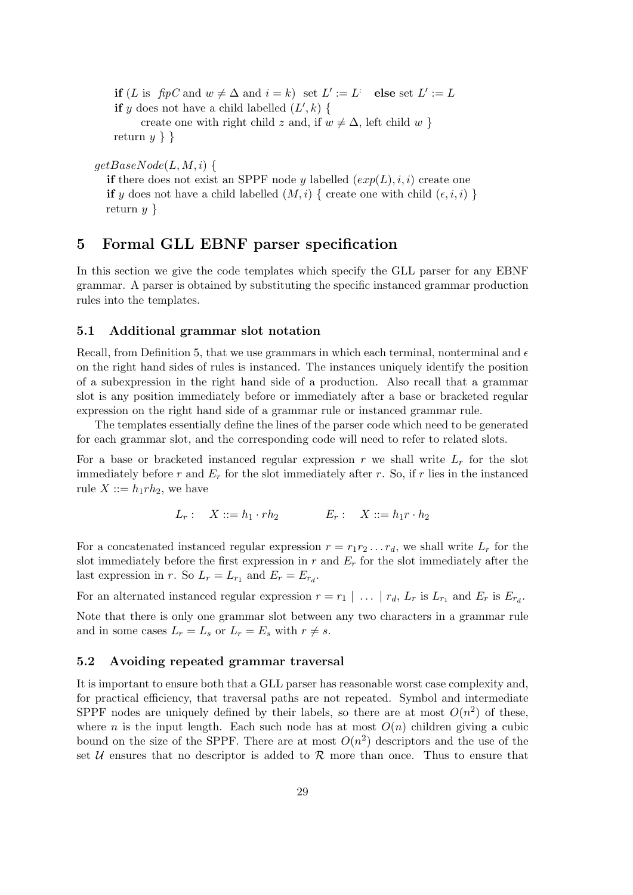if (L is figC and  $w \neq \Delta$  and  $i = k$ ) set  $L' := L^2$  else set  $L' := L$ if y does not have a child labelled  $(L', k)$  {

create one with right child z and, if  $w \neq \Delta$ , left child w } return  $y \}$ 

 $getBaseNode(L, M, i)$  {

if there does not exist an SPPF node y labelled  $(exp(L), i, i)$  create one if y does not have a child labelled  $(M, i)$  { create one with child  $(\epsilon, i, i)$ } return  $y \}$ 

# 5 Formal GLL EBNF parser specification

In this section we give the code templates which specify the GLL parser for any EBNF grammar. A parser is obtained by substituting the specific instanced grammar production rules into the templates.

#### 5.1 Additional grammar slot notation

Recall, from Definition 5, that we use grammars in which each terminal, nonterminal and  $\epsilon$ on the right hand sides of rules is instanced. The instances uniquely identify the position of a subexpression in the right hand side of a production. Also recall that a grammar slot is any position immediately before or immediately after a base or bracketed regular expression on the right hand side of a grammar rule or instanced grammar rule.

The templates essentially define the lines of the parser code which need to be generated for each grammar slot, and the corresponding code will need to refer to related slots.

For a base or bracketed instanced regular expression r we shall write  $L_r$  for the slot immediately before r and  $E_r$  for the slot immediately after r. So, if r lies in the instanced rule  $X ::= h_1rh_2$ , we have

$$
L_r: \quad X ::= h_1 \cdot rh_2 \qquad \qquad E_r: \quad X ::= h_1r \cdot h_2
$$

For a concatenated instanced regular expression  $r = r_1r_2 \ldots r_d$ , we shall write  $L_r$  for the slot immediately before the first expression in  $r$  and  $E_r$  for the slot immediately after the last expression in r. So  $L_r = L_{r_1}$  and  $E_r = E_{r_d}$ .

For an alternated instanced regular expression  $r = r_1 \mid \ldots \mid r_d$ ,  $L_r$  is  $L_{r_1}$  and  $E_r$  is  $E_{r_d}$ . Note that there is only one grammar slot between any two characters in a grammar rule and in some cases  $L_r = L_s$  or  $L_r = E_s$  with  $r \neq s$ .

### 5.2 Avoiding repeated grammar traversal

It is important to ensure both that a GLL parser has reasonable worst case complexity and, for practical efficiency, that traversal paths are not repeated. Symbol and intermediate SPPF nodes are uniquely defined by their labels, so there are at most  $O(n^2)$  of these, where n is the input length. Each such node has at most  $O(n)$  children giving a cubic bound on the size of the SPPF. There are at most  $O(n^2)$  descriptors and the use of the set U ensures that no descriptor is added to R more than once. Thus to ensure that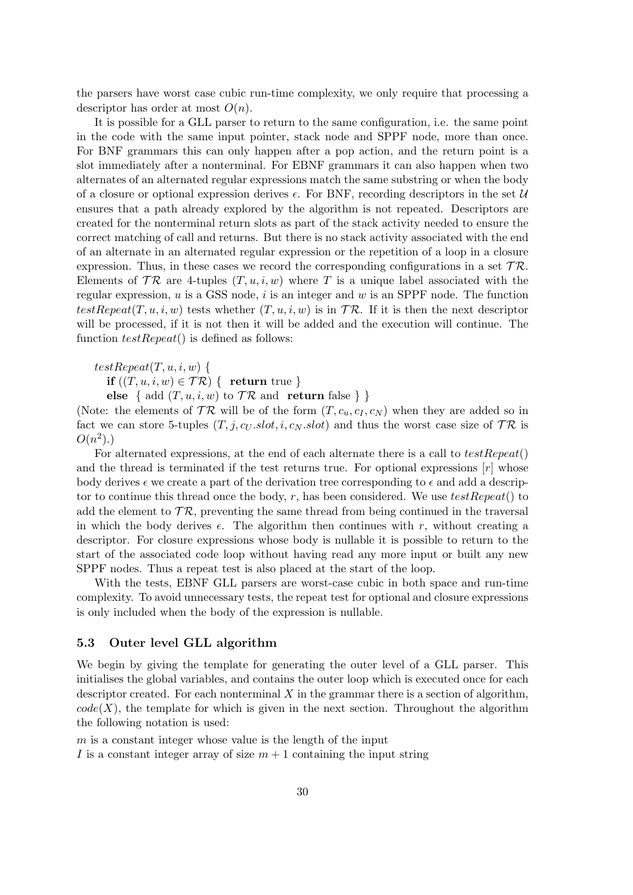the parsers have worst case cubic run-time complexity, we only require that processing a descriptor has order at most  $O(n)$ .

It is possible for a GLL parser to return to the same configuration, i.e. the same point in the code with the same input pointer, stack node and SPPF node, more than once. For BNF grammars this can only happen after a pop action, and the return point is a slot immediately after a nonterminal. For EBNF grammars it can also happen when two alternates of an alternated regular expressions match the same substring or when the body of a closure or optional expression derives  $\epsilon$ . For BNF, recording descriptors in the set U ensures that a path already explored by the algorithm is not repeated. Descriptors are created for the nonterminal return slots as part of the stack activity needed to ensure the correct matching of call and returns. But there is no stack activity associated with the end of an alternate in an alternated regular expression or the repetition of a loop in a closure expression. Thus, in these cases we record the corresponding configurations in a set  $TR$ . Elements of  $TR$  are 4-tuples  $(T, u, i, w)$  where T is a unique label associated with the regular expression,  $u$  is a GSS node,  $i$  is an integer and  $w$  is an SPPF node. The function testRepeat(T, u, i, w) tests whether  $(T, u, i, w)$  is in  $TR$ . If it is then the next descriptor will be processed, if it is not then it will be added and the execution will continue. The function  $testRepeat()$  is defined as follows:

 $testRepeat(T, u, i, w)$  {

if  $((T, u, i, w) \in \mathcal{TR})$  { return true }

else { add  $(T, u, i, w)$  to  $TR$  and return false } }

(Note: the elements of  $TR$  will be of the form  $(T, c_u, c_I, c_N)$  when they are added so in fact we can store 5-tuples  $(T, j, c_U, slot, i, c_N, slot)$  and thus the worst case size of  $TR$  is  $O(n^2)$ .

For alternated expressions, at the end of each alternate there is a call to  $testRepeat()$ and the thread is terminated if the test returns true. For optional expressions  $[r]$  whose body derives  $\epsilon$  we create a part of the derivation tree corresponding to  $\epsilon$  and add a descriptor to continue this thread once the body, r, has been considered. We use  $testRepeat()$  to add the element to  $TR$ , preventing the same thread from being continued in the traversal in which the body derives  $\epsilon$ . The algorithm then continues with r, without creating a descriptor. For closure expressions whose body is nullable it is possible to return to the start of the associated code loop without having read any more input or built any new SPPF nodes. Thus a repeat test is also placed at the start of the loop.

With the tests, EBNF GLL parsers are worst-case cubic in both space and run-time complexity. To avoid unnecessary tests, the repeat test for optional and closure expressions is only included when the body of the expression is nullable.

#### 5.3 Outer level GLL algorithm

We begin by giving the template for generating the outer level of a GLL parser. This initialises the global variables, and contains the outer loop which is executed once for each descriptor created. For each nonterminal  $X$  in the grammar there is a section of algorithm,  $code(X)$ , the template for which is given in the next section. Throughout the algorithm the following notation is used:

 $m$  is a constant integer whose value is the length of the input I is a constant integer array of size  $m + 1$  containing the input string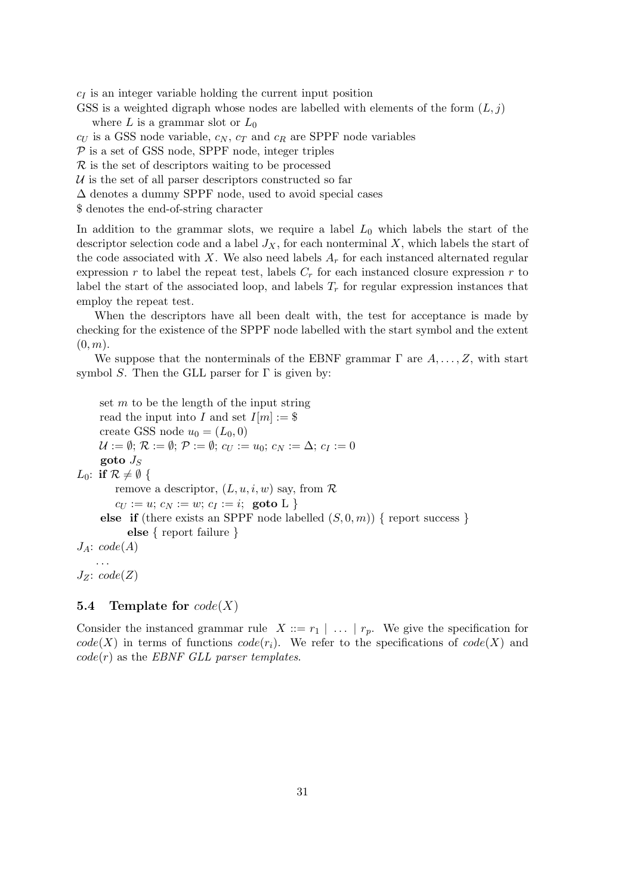$c_I$  is an integer variable holding the current input position

GSS is a weighted digraph whose nodes are labelled with elements of the form  $(L, j)$ where L is a grammar slot or  $L_0$ 

 $c_U$  is a GSS node variable,  $c_N$ ,  $c_T$  and  $c_R$  are SPPF node variables

 $P$  is a set of GSS node, SPPF node, integer triples

 $\mathcal R$  is the set of descriptors waiting to be processed

 $U$  is the set of all parser descriptors constructed so far

∆ denotes a dummy SPPF node, used to avoid special cases

\$ denotes the end-of-string character

In addition to the grammar slots, we require a label  $L_0$  which labels the start of the descriptor selection code and a label  $J_X$ , for each nonterminal X, which labels the start of the code associated with X. We also need labels  $A_r$  for each instanced alternated regular expression r to label the repeat test, labels  $C_r$  for each instanced closure expression r to label the start of the associated loop, and labels  $T_r$  for regular expression instances that employ the repeat test.

When the descriptors have all been dealt with, the test for acceptance is made by checking for the existence of the SPPF node labelled with the start symbol and the extent  $(0, m)$ .

We suppose that the nonterminals of the EBNF grammar  $\Gamma$  are  $A, \ldots, Z$ , with start symbol S. Then the GLL parser for  $\Gamma$  is given by:

set  $m$  to be the length of the input string read the input into I and set  $I[m] :=$ \$ create GSS node  $u_0 = (L_0, 0)$  $\mathcal{U} := \emptyset; \mathcal{R} := \emptyset; \mathcal{P} := \emptyset; c_U := u_0; c_N := \Delta; c_I := 0$ goto  $J_S$  $L_0$ : if  $\mathcal{R} \neq \emptyset$  { remove a descriptor,  $(L, u, i, w)$  say, from  $\mathcal{R}$  $c_U := u$ ;  $c_N := w$ ;  $c_I := i$ ; goto L } else if (there exists an SPPF node labelled  $(S, 0, m)$ ) { report success } else { report failure }  $J_A$ :  $code(A)$ . . .  $J_Z$ :  $code(Z)$ 

#### **5.4** Template for  $code(X)$

Consider the instanced grammar rule  $X ::= r_1 \mid \ldots \mid r_p$ . We give the specification for  $code(X)$  in terms of functions  $code(r_i)$ . We refer to the specifications of  $code(X)$  and  $code(r)$  as the EBNF GLL parser templates.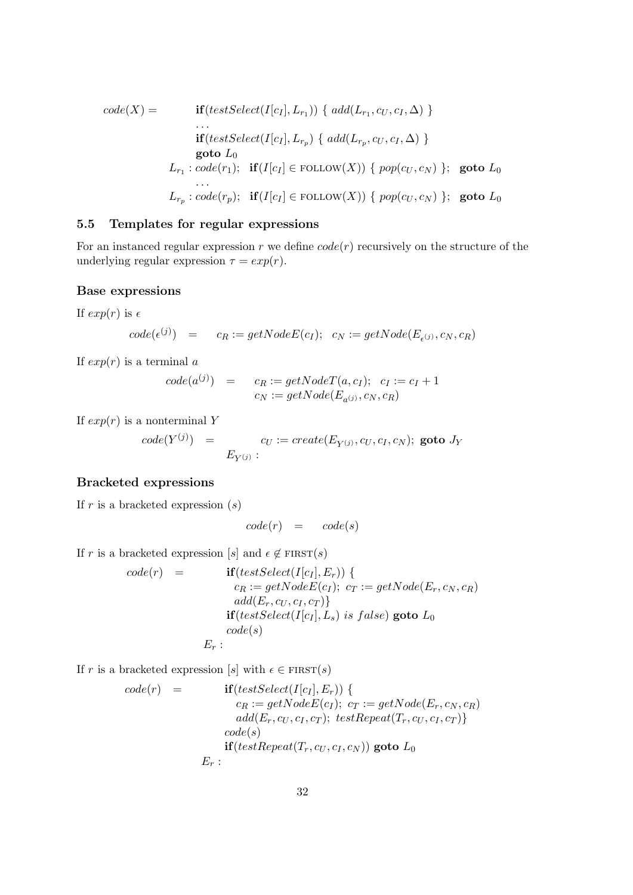$$
code(X) = \textbf{if}(testSelect(I[c_I], L_{r_1})) \{ add(L_{r_1}, c_U, c_I, \Delta) \}
$$
  
\n
$$
\cdots
$$
  
\n
$$
\textbf{if}(testSelect(I[c_I], L_{r_p}) \{ add(L_{r_p}, c_U, c_I, \Delta) \}
$$
  
\n
$$
\textbf{goto } L_0
$$
  
\n
$$
L_{r_1} : code(r_1); \textbf{ if}(I[c_I] \in \text{FOLLOW}(X)) \{ pop(c_U, c_N) \}; \textbf{goto } L_0
$$
  
\n
$$
\cdots
$$
  
\n
$$
L_{r_p} : code(r_p); \textbf{ if}(I[c_I] \in \text{FOLLOW}(X)) \{ pop(c_U, c_N) \}; \textbf{goto } L_0
$$

### 5.5 Templates for regular expressions

For an instanced regular expression r we define  $code(r)$  recursively on the structure of the underlying regular expression  $\tau = exp(r)$ .

### Base expressions

If  $exp(r)$  is  $\epsilon$ 

$$
code(\epsilon^{(j)}) \quad = \quad c_R := getNodeE(c_I); \quad c_N := getNode(E_{\epsilon^{(j)}}, c_N, c_R)
$$

If  $exp(r)$  is a terminal a

$$
\begin{array}{lcl} code(a^{(j)}) & = & c_R := getNodeT(a,c_I); & c_I := c_I + 1 \\ & c_N := getNode(E_{a^{(j)}},c_N,c_R) \end{array}
$$

If  $exp(r)$  is a nonterminal Y

$$
code(Y^{(j)}) = cv := create(E_{Y^{(j)}}, c_U, c_I, c_N);
$$
 **goto**  $J_Y$   

$$
E_{Y^{(j)}}:
$$

# Bracketed expressions

If  $r$  is a bracketed expression  $(s)$ 

$$
code(r) = code(s)
$$

If r is a bracketed expression [s] and  $\epsilon \notin$  FIRST(s)

$$
code(r) = \qquad \qquad \textbf{if}(testSelect(I[c_I], E_r)) \{ \qquad \qquad c_R := getNodeE(c_I); \quad c_T := getNode(E_r, c_N, c_R) \qquad \qquad add(E_r, c_U, c_I, c_T) \} \qquad \qquad \textbf{if}(testSelect(I[c_I], L_s) \text{ is false}) \textbf{goto } L_0 \qquad \qquad code(s) \qquad \qquad E_r:
$$

If r is a bracketed expression [s] with  $\epsilon \in$  FIRST(s)

$$
code(r) = \textbf{if}(testSelect(I[c_I], E_r)) \{ \begin{aligned} &c_{R} := getNodeE(c_I); \ c_T := getNode(E_r, c_N, c_R) \\ & add(E_r, c_U, c_I, c_T); \ testRepeat(T_r, c_U, c_I, c_T) \} \\ & code(s) \\ & \textbf{if}(testRepeat(T_r, c_U, c_I, c_N)) \textbf{goto } L_0 \\ & E_r: \end{aligned}
$$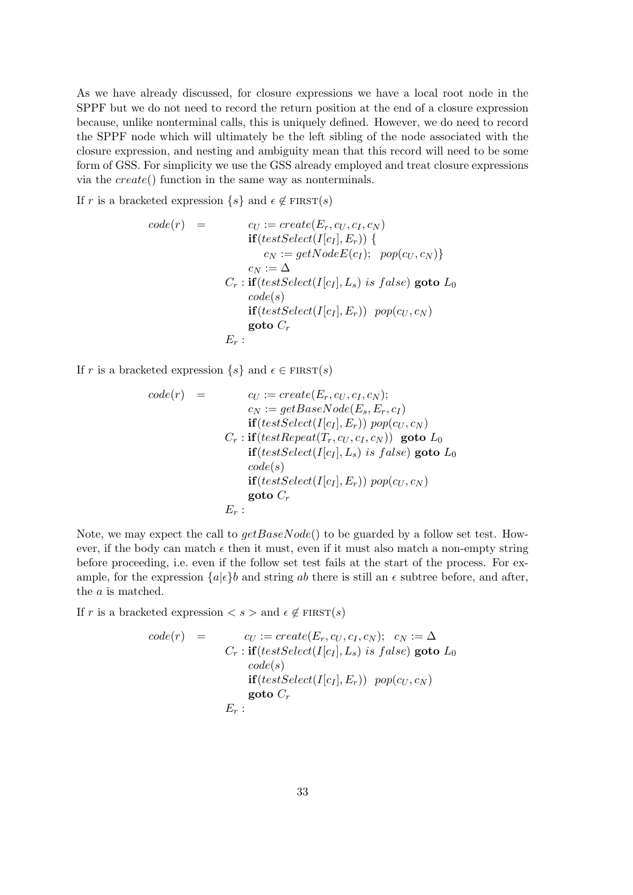As we have already discussed, for closure expressions we have a local root node in the SPPF but we do not need to record the return position at the end of a closure expression because, unlike nonterminal calls, this is uniquely defined. However, we do need to record the SPPF node which will ultimately be the left sibling of the node associated with the closure expression, and nesting and ambiguity mean that this record will need to be some form of GSS. For simplicity we use the GSS already employed and treat closure expressions via the create() function in the same way as nonterminals.

If r is a bracketed expression  $\{s\}$  and  $\epsilon \notin$  FIRST $(s)$ 

$$
code(r) = c_U := create(E_r, c_U, c_I, c_N)
$$
\n
$$
\textbf{if}(testSelect(I[c_I], E_r)) \{ c_N := getNodeE(c_I); \text{ pop}(c_U, c_N) \}
$$
\n
$$
c_N := \Delta
$$
\n
$$
C_r : \textbf{if}(testSelect(I[c_I], L_s) \text{ is false}) \textbf{goto } L_0
$$
\n
$$
code(s)
$$
\n
$$
\textbf{if}(testSelect(I[c_I], E_r)) \text{ pop}(c_U, c_N)
$$
\n
$$
\textbf{goto } C_r
$$
\n
$$
E_r :
$$

If r is a bracketed expression  $\{s\}$  and  $\epsilon \in$  FIRST $(s)$ 

$$
code(r) = c_U := create(E_r, c_U, c_I, c_N);
$$
  
\n
$$
c_N := getBaseNode(E_s, E_r, c_I)
$$
  
\nif (testSelect([c\_I], E\_r)) pop(c\_U, c\_N)  
\n
$$
C_r : if (testRepeat(T_r, c_U, c_I, c_N))
$$
goto  $L_0$   
\nif (testSelect([c\_I], L\_s) is false) **goto**  $L_0$   
\n
$$
code(s)
$$
  
\nif (testSelect([c\_I], E\_r)) pop(c\_U, c\_N)  
\n
$$
E_r :
$$

Note, we may expect the call to  $getBaseNode()$  to be guarded by a follow set test. However, if the body can match  $\epsilon$  then it must, even if it must also match a non-empty string before proceeding, i.e. even if the follow set test fails at the start of the process. For example, for the expression  ${a \in b}$  and string ab there is still an  $\epsilon$  subtree before, and after, the a is matched.

If r is a bracketed expression  $\langle s \rangle$  and  $\epsilon \notin$  FIRST $(s)$ 

$$
code(r) = cv := create(E_r, c_U, c_I, c_N); c_N := \Delta
$$
  
\n
$$
C_r : \textbf{if}(testSelect(I[c_I], L_s) \text{ is false}) \textbf{goto } L_0
$$
  
\n
$$
code(s)
$$
  
\n
$$
\textbf{if}(testSelect(I[c_I], E_r)) \textbf{pop}(c_U, c_N)
$$
  
\n
$$
\textbf{goto } C_r
$$
  
\n
$$
E_r :
$$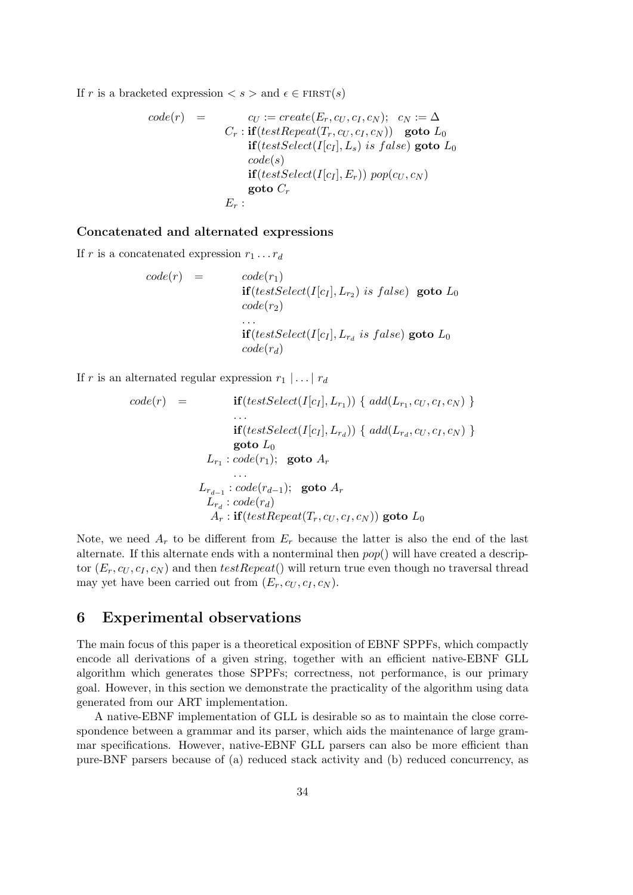If r is a bracketed expression  $\langle s \rangle$  and  $\epsilon \in$  FIRST $(s)$ 

$$
code(r) = cU := create(E_r, cU, c_I, c_N); c_N := \Delta
$$
  
\n
$$
C_r : \mathbf{if}(testRepeat(T_r, cU, c_I, c_N)) \text{goto } L_0
$$
  
\n
$$
\mathbf{if}(testSelect(I[c_I], L_s) \text{ is false}) \text{goto } L_0
$$
  
\n
$$
code(s)
$$
  
\n
$$
\mathbf{if}(testSelect(I[c_I], E_r)) \text{pop}(cU, c_N)
$$
  
\n
$$
\mathbf{goto } C_r
$$
  
\n
$$
E_r :
$$

### Concatenated and alternated expressions

If r is a concatenated expression  $r_1 \ldots r_d$ 

$$
code(r) = code(r_1)
$$
  
\n
$$
\mathbf{if}(testSelect(I[c_I], L_{r_2}) \text{ is false})
$$
 **goto**  $L_0$   
\n
$$
code(r_2)
$$
  
\n...  
\n
$$
\mathbf{if}(testSelect(I[c_I], L_{r_d} \text{ is false})
$$
 **goto**  $L_0$   
\n
$$
code(r_d)
$$

If r is an alternated regular expression  $r_1 | \dots | r_d$ 

$$
code(r) = \qquad \qquad \textbf{if}(testSelect(I[c_I], L_{r_1})) \{ add(L_{r_1}, c_U, c_I, c_N) \} \newline ... \newline \qquad \qquad \textbf{if}(testSelect(I[c_I], L_{r_d})) \{ add(L_{r_d}, c_U, c_I, c_N) \} \newline \textbf{goto } L_0 \newline L_{r_1} : code(r_1); \quad \textbf{goto } A_r \newline ... \newline L_{r_{d-1}} : code(r_{d-1}); \quad \textbf{goto } A_r \newline L_{r_d} : code(r_d) \newline A_r : \textbf{if}(testRepeat(T_r, c_U, c_I, c_N)) \quad \textbf{goto } L_0
$$

Note, we need  $A_r$  to be different from  $E_r$  because the latter is also the end of the last alternate. If this alternate ends with a nonterminal then pop() will have created a descriptor  $(E_r, c_U, c_I, c_N)$  and then  $testRepeat()$  will return true even though no traversal thread may yet have been carried out from  $(E_r, c_U, c_I, c_N)$ .

# 6 Experimental observations

The main focus of this paper is a theoretical exposition of EBNF SPPFs, which compactly encode all derivations of a given string, together with an efficient native-EBNF GLL algorithm which generates those SPPFs; correctness, not performance, is our primary goal. However, in this section we demonstrate the practicality of the algorithm using data generated from our ART implementation.

A native-EBNF implementation of GLL is desirable so as to maintain the close correspondence between a grammar and its parser, which aids the maintenance of large grammar specifications. However, native-EBNF GLL parsers can also be more efficient than pure-BNF parsers because of (a) reduced stack activity and (b) reduced concurrency, as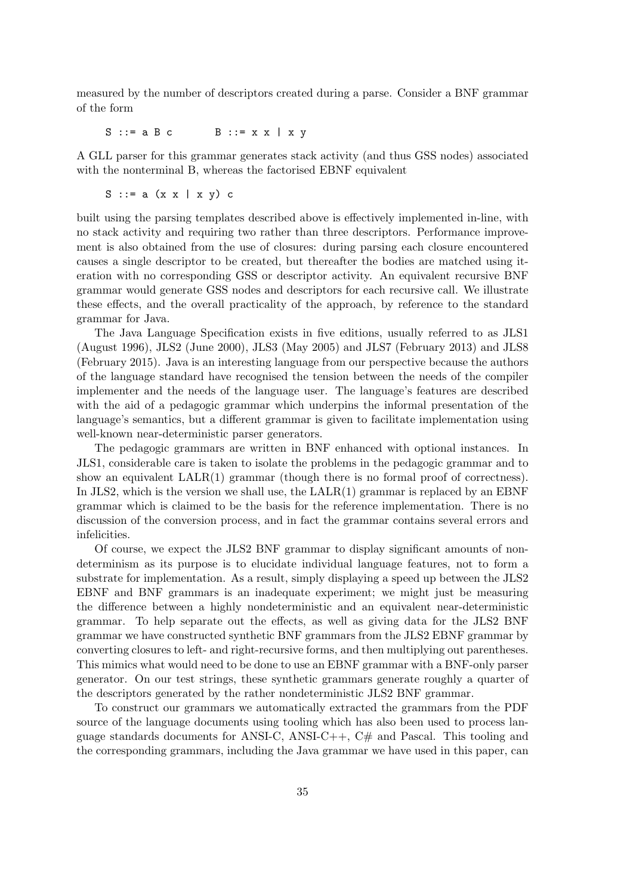measured by the number of descriptors created during a parse. Consider a BNF grammar of the form

 $S ::= a B C$   $B ::= x x | x y$ 

A GLL parser for this grammar generates stack activity (and thus GSS nodes) associated with the nonterminal B, whereas the factorised EBNF equivalent

 $S := a (x x | x y) c$ 

built using the parsing templates described above is effectively implemented in-line, with no stack activity and requiring two rather than three descriptors. Performance improvement is also obtained from the use of closures: during parsing each closure encountered causes a single descriptor to be created, but thereafter the bodies are matched using iteration with no corresponding GSS or descriptor activity. An equivalent recursive BNF grammar would generate GSS nodes and descriptors for each recursive call. We illustrate these effects, and the overall practicality of the approach, by reference to the standard grammar for Java.

The Java Language Specification exists in five editions, usually referred to as JLS1 (August 1996), JLS2 (June 2000), JLS3 (May 2005) and JLS7 (February 2013) and JLS8 (February 2015). Java is an interesting language from our perspective because the authors of the language standard have recognised the tension between the needs of the compiler implementer and the needs of the language user. The language's features are described with the aid of a pedagogic grammar which underpins the informal presentation of the language's semantics, but a different grammar is given to facilitate implementation using well-known near-deterministic parser generators.

The pedagogic grammars are written in BNF enhanced with optional instances. In JLS1, considerable care is taken to isolate the problems in the pedagogic grammar and to show an equivalent LALR(1) grammar (though there is no formal proof of correctness). In JLS2, which is the version we shall use, the  $LALR(1)$  grammar is replaced by an EBNF grammar which is claimed to be the basis for the reference implementation. There is no discussion of the conversion process, and in fact the grammar contains several errors and infelicities.

Of course, we expect the JLS2 BNF grammar to display significant amounts of nondeterminism as its purpose is to elucidate individual language features, not to form a substrate for implementation. As a result, simply displaying a speed up between the JLS2 EBNF and BNF grammars is an inadequate experiment; we might just be measuring the difference between a highly nondeterministic and an equivalent near-deterministic grammar. To help separate out the effects, as well as giving data for the JLS2 BNF grammar we have constructed synthetic BNF grammars from the JLS2 EBNF grammar by converting closures to left- and right-recursive forms, and then multiplying out parentheses. This mimics what would need to be done to use an EBNF grammar with a BNF-only parser generator. On our test strings, these synthetic grammars generate roughly a quarter of the descriptors generated by the rather nondeterministic JLS2 BNF grammar.

To construct our grammars we automatically extracted the grammars from the PDF source of the language documents using tooling which has also been used to process language standards documents for ANSI-C, ANSI-C++,  $C#$  and Pascal. This tooling and the corresponding grammars, including the Java grammar we have used in this paper, can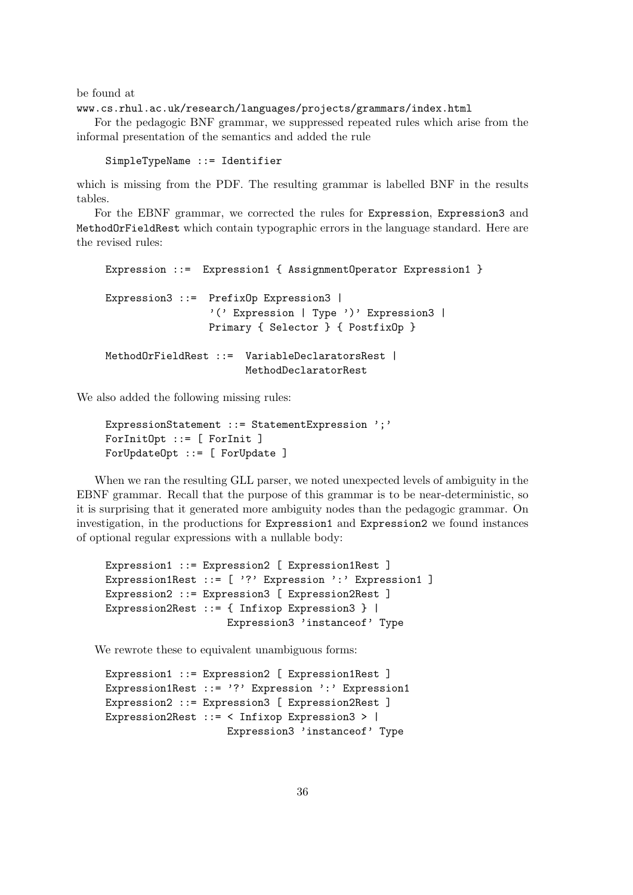be found at

www.cs.rhul.ac.uk/research/languages/projects/grammars/index.html

For the pedagogic BNF grammar, we suppressed repeated rules which arise from the informal presentation of the semantics and added the rule

```
SimpleTypeName ::= Identifier
```
which is missing from the PDF. The resulting grammar is labelled BNF in the results tables.

For the EBNF grammar, we corrected the rules for Expression, Expression3 and MethodOrFieldRest which contain typographic errors in the language standard. Here are the revised rules:

```
Expression ::= Expression1 { AssignmentOperator Expression1 }
Expression3 ::= PrefixOp Expression3 |
                 '(' Expression | Type ')' Expression3 |
                 Primary { Selector } { PostfixOp }
MethodOrFieldRest ::= VariableDeclaratorsRest |
                       MethodDeclaratorRest
```
We also added the following missing rules:

```
ExpressionStatement ::= StatementExpression ';'
ForInitOpt ::= [ ForInit ]
ForUpdateOpt ::= [ ForUpdate ]
```
When we ran the resulting GLL parser, we noted unexpected levels of ambiguity in the EBNF grammar. Recall that the purpose of this grammar is to be near-deterministic, so it is surprising that it generated more ambiguity nodes than the pedagogic grammar. On investigation, in the productions for Expression1 and Expression2 we found instances of optional regular expressions with a nullable body:

```
Expression1 ::= Expression2 [ Expression1Rest ]
Expression1Rest ::= [ '?' Expression ':' Expression1 ]
Expression2 ::= Expression3 [ Expression2Rest ]
Expression2Rest ::= { Infixop Expression3 } |
                    Expression3 'instanceof' Type
```
We rewrote these to equivalent unambiguous forms:

```
Expression1 ::= Expression2 [ Expression1Rest ]
Expression1Rest ::= '?' Expression ':' Expression1
Expression2 ::= Expression3 [ Expression2Rest ]
Expression2Rest ::= < Infixop Expression3 > |
                    Expression3 'instanceof' Type
```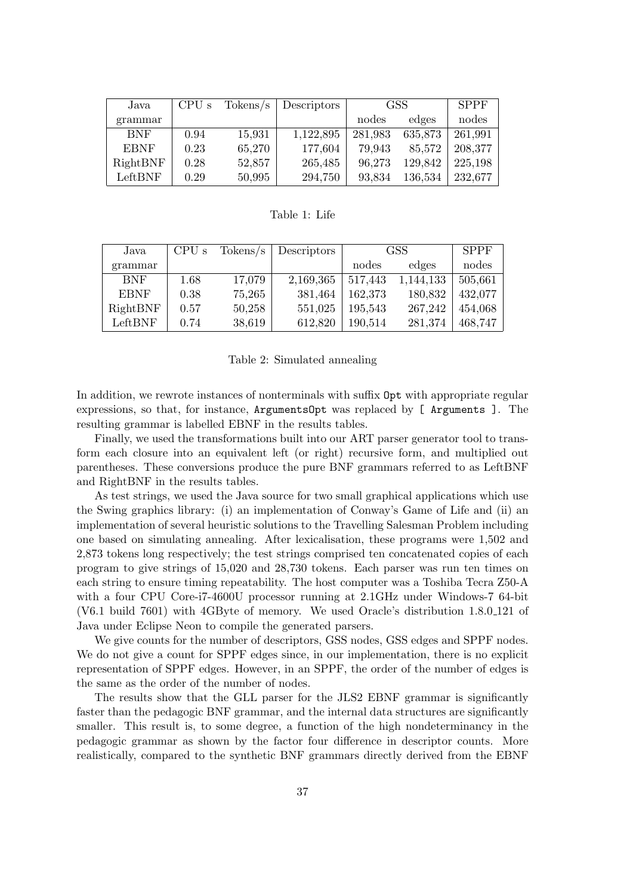| Java        | CPU s | Tokens/s | Descriptors | <b>GSS</b> |         | <b>SPPF</b> |
|-------------|-------|----------|-------------|------------|---------|-------------|
| grammar     |       |          |             | nodes      | edges   | nodes       |
| <b>BNF</b>  | 0.94  | 15,931   | 1,122,895   | 281,983    | 635,873 | 261,991     |
| <b>EBNF</b> | 0.23  | 65,270   | 177,604     | 79,943     | 85,572  | 208,377     |
| RightBNF    | 0.28  | 52,857   | 265,485     | 96,273     | 129,842 | 225,198     |
| LeftBNF     | 0.29  | 50,995   | 294,750     | 93,834     | 136,534 | 232,677     |

Table 1: Life

| Java        | CPU <sub>s</sub> | Tokens/s | Descriptors | <b>GSS</b> |           | <b>SPPF</b> |
|-------------|------------------|----------|-------------|------------|-----------|-------------|
| grammar     |                  |          |             | nodes      | edges     | nodes       |
| <b>BNF</b>  | 1.68             | 17,079   | 2,169,365   | 517,443    | 1,144,133 | 505,661     |
| <b>EBNF</b> | 0.38             | 75,265   | 381,464     | 162,373    | 180,832   | 432,077     |
| RightBNF    | 0.57             | 50,258   | 551,025     | 195,543    | 267,242   | 454,068     |
| LeftBNF     | 0.74             | 38,619   | 612,820     | 190,514    | 281,374   | 468,747     |

Table 2: Simulated annealing

In addition, we rewrote instances of nonterminals with suffix Opt with appropriate regular expressions, so that, for instance, ArgumentsOpt was replaced by [ Arguments ]. The resulting grammar is labelled EBNF in the results tables.

Finally, we used the transformations built into our ART parser generator tool to transform each closure into an equivalent left (or right) recursive form, and multiplied out parentheses. These conversions produce the pure BNF grammars referred to as LeftBNF and RightBNF in the results tables.

As test strings, we used the Java source for two small graphical applications which use the Swing graphics library: (i) an implementation of Conway's Game of Life and (ii) an implementation of several heuristic solutions to the Travelling Salesman Problem including one based on simulating annealing. After lexicalisation, these programs were 1,502 and 2,873 tokens long respectively; the test strings comprised ten concatenated copies of each program to give strings of 15,020 and 28,730 tokens. Each parser was run ten times on each string to ensure timing repeatability. The host computer was a Toshiba Tecra Z50-A with a four CPU Core-i7-4600U processor running at 2.1GHz under Windows-7 64-bit (V6.1 build 7601) with 4GByte of memory. We used Oracle's distribution 1.8.0 121 of Java under Eclipse Neon to compile the generated parsers.

We give counts for the number of descriptors, GSS nodes, GSS edges and SPPF nodes. We do not give a count for SPPF edges since, in our implementation, there is no explicit representation of SPPF edges. However, in an SPPF, the order of the number of edges is the same as the order of the number of nodes.

The results show that the GLL parser for the JLS2 EBNF grammar is significantly faster than the pedagogic BNF grammar, and the internal data structures are significantly smaller. This result is, to some degree, a function of the high nondeterminancy in the pedagogic grammar as shown by the factor four difference in descriptor counts. More realistically, compared to the synthetic BNF grammars directly derived from the EBNF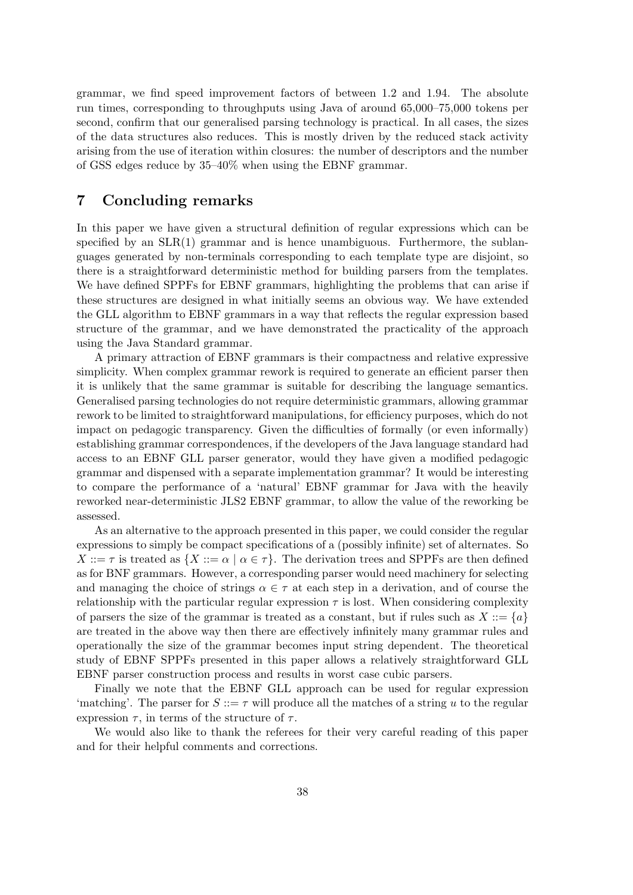grammar, we find speed improvement factors of between 1.2 and 1.94. The absolute run times, corresponding to throughputs using Java of around 65,000–75,000 tokens per second, confirm that our generalised parsing technology is practical. In all cases, the sizes of the data structures also reduces. This is mostly driven by the reduced stack activity arising from the use of iteration within closures: the number of descriptors and the number of GSS edges reduce by 35–40% when using the EBNF grammar.

# 7 Concluding remarks

In this paper we have given a structural definition of regular expressions which can be specified by an  $SLR(1)$  grammar and is hence unambiguous. Furthermore, the sublanguages generated by non-terminals corresponding to each template type are disjoint, so there is a straightforward deterministic method for building parsers from the templates. We have defined SPPFs for EBNF grammars, highlighting the problems that can arise if these structures are designed in what initially seems an obvious way. We have extended the GLL algorithm to EBNF grammars in a way that reflects the regular expression based structure of the grammar, and we have demonstrated the practicality of the approach using the Java Standard grammar.

A primary attraction of EBNF grammars is their compactness and relative expressive simplicity. When complex grammar rework is required to generate an efficient parser then it is unlikely that the same grammar is suitable for describing the language semantics. Generalised parsing technologies do not require deterministic grammars, allowing grammar rework to be limited to straightforward manipulations, for efficiency purposes, which do not impact on pedagogic transparency. Given the difficulties of formally (or even informally) establishing grammar correspondences, if the developers of the Java language standard had access to an EBNF GLL parser generator, would they have given a modified pedagogic grammar and dispensed with a separate implementation grammar? It would be interesting to compare the performance of a 'natural' EBNF grammar for Java with the heavily reworked near-deterministic JLS2 EBNF grammar, to allow the value of the reworking be assessed.

As an alternative to the approach presented in this paper, we could consider the regular expressions to simply be compact specifications of a (possibly infinite) set of alternates. So  $X ::= \tau$  is treated as  $\{X ::= \alpha \mid \alpha \in \tau\}$ . The derivation trees and SPPFs are then defined as for BNF grammars. However, a corresponding parser would need machinery for selecting and managing the choice of strings  $\alpha \in \tau$  at each step in a derivation, and of course the relationship with the particular regular expression  $\tau$  is lost. When considering complexity of parsers the size of the grammar is treated as a constant, but if rules such as  $X ::= \{a\}$ are treated in the above way then there are effectively infinitely many grammar rules and operationally the size of the grammar becomes input string dependent. The theoretical study of EBNF SPPFs presented in this paper allows a relatively straightforward GLL EBNF parser construction process and results in worst case cubic parsers.

Finally we note that the EBNF GLL approach can be used for regular expression 'matching'. The parser for  $S ::= \tau$  will produce all the matches of a string u to the regular expression  $\tau$ , in terms of the structure of  $\tau$ .

We would also like to thank the referees for their very careful reading of this paper and for their helpful comments and corrections.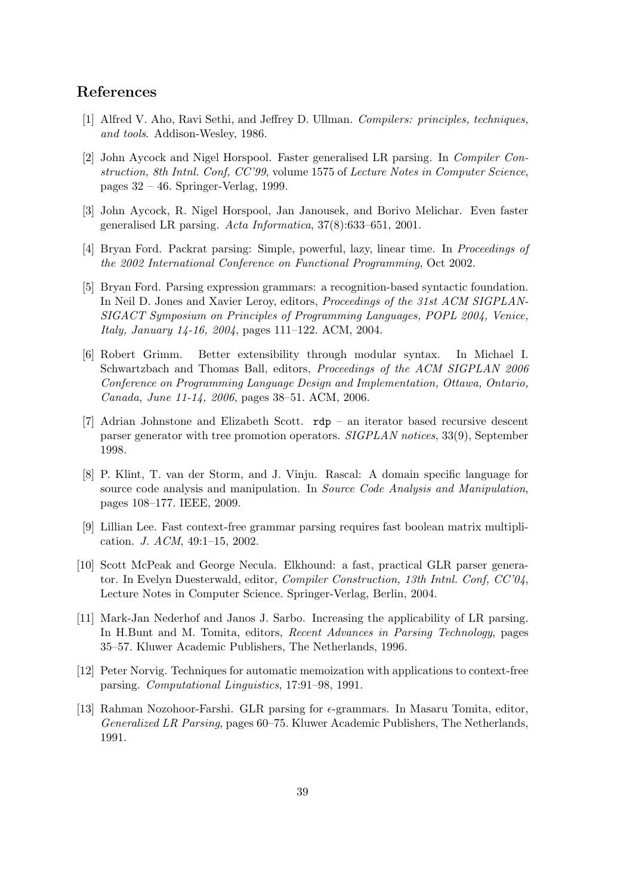# References

- [1] Alfred V. Aho, Ravi Sethi, and Jeffrey D. Ullman. Compilers: principles, techniques, and tools. Addison-Wesley, 1986.
- [2] John Aycock and Nigel Horspool. Faster generalised LR parsing. In Compiler Construction, 8th Intnl. Conf, CC'99, volume 1575 of Lecture Notes in Computer Science, pages 32 – 46. Springer-Verlag, 1999.
- [3] John Aycock, R. Nigel Horspool, Jan Janousek, and Borivo Melichar. Even faster generalised LR parsing. Acta Informatica, 37(8):633–651, 2001.
- [4] Bryan Ford. Packrat parsing: Simple, powerful, lazy, linear time. In Proceedings of the 2002 International Conference on Functional Programming, Oct 2002.
- [5] Bryan Ford. Parsing expression grammars: a recognition-based syntactic foundation. In Neil D. Jones and Xavier Leroy, editors, Proceedings of the 31st ACM SIGPLAN-SIGACT Symposium on Principles of Programming Languages, POPL 2004, Venice, Italy, January 14-16, 2004, pages 111–122. ACM, 2004.
- [6] Robert Grimm. Better extensibility through modular syntax. In Michael I. Schwartzbach and Thomas Ball, editors, Proceedings of the ACM SIGPLAN 2006 Conference on Programming Language Design and Implementation, Ottawa, Ontario, Canada, June 11-14, 2006, pages 38–51. ACM, 2006.
- [7] Adrian Johnstone and Elizabeth Scott. rdp an iterator based recursive descent parser generator with tree promotion operators. SIGPLAN notices, 33(9), September 1998.
- [8] P. Klint, T. van der Storm, and J. Vinju. Rascal: A domain specific language for source code analysis and manipulation. In Source Code Analysis and Manipulation, pages 108–177. IEEE, 2009.
- [9] Lillian Lee. Fast context-free grammar parsing requires fast boolean matrix multiplication. J. ACM, 49:1–15, 2002.
- [10] Scott McPeak and George Necula. Elkhound: a fast, practical GLR parser generator. In Evelyn Duesterwald, editor, Compiler Construction, 13th Intnl. Conf, CC'04, Lecture Notes in Computer Science. Springer-Verlag, Berlin, 2004.
- [11] Mark-Jan Nederhof and Janos J. Sarbo. Increasing the applicability of LR parsing. In H.Bunt and M. Tomita, editors, Recent Advances in Parsing Technology, pages 35–57. Kluwer Academic Publishers, The Netherlands, 1996.
- [12] Peter Norvig. Techniques for automatic memoization with applications to context-free parsing. Computational Linguistics, 17:91–98, 1991.
- [13] Rahman Nozohoor-Farshi. GLR parsing for  $\epsilon$ -grammars. In Masaru Tomita, editor, Generalized LR Parsing, pages 60–75. Kluwer Academic Publishers, The Netherlands, 1991.